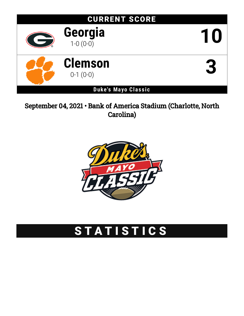

## September 04, 2021 • Bank of America Stadium (Charlotte, North Carolina)



# STATISTICS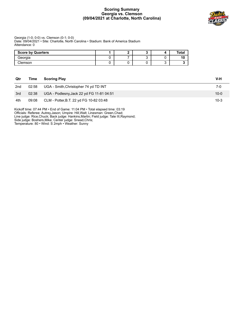#### **Scoring Summary Georgia vs. Clemson (09/04/2021 at Charlotte, North Carolina)**



#### Georgia (1-0; 0-0) vs. Clemson (0-1; 0-0) Date: 09/04/2021 • Site: Charlotte, North Carolina • Stadium: Bank of America Stadium Attendance: 0

| <b>Score by Quarters</b> |  |  | Tota. |
|--------------------------|--|--|-------|
| Georgia                  |  |  | 10    |
| Clemson                  |  |  |       |

| Qtr             | Time  | <b>Scoring Play</b>                       | V-H      |
|-----------------|-------|-------------------------------------------|----------|
| 2 <sub>nd</sub> | 02:58 | UGA - Smith, Christopher 74 yd TD INT     | 7-0      |
| 3rd             | 02:38 | UGA - Podlesny, Jack 22 yd FG 11-81 04:51 | $10 - 0$ |
| 4th             | 09:08 | CLM - Potter, B.T. 22 yd FG 10-82 03:48   | $10-3$   |

Kickoff time: 07:44 PM • End of Game: 11:04 PM • Total elapsed time: 03:19 Officials: Referee: Autrey,Jason; Umpire: Hill,Walt; Linesman: Green,Chad; Line judge: Rice,Chuck; Back judge: Hankins,Martin; Field judge: Tate III,Raymond; Side judge: Boshers,Mike; Center judge: Snead,Chris; Temperature: 80 • Wind: S 2mph • Weather: Sunny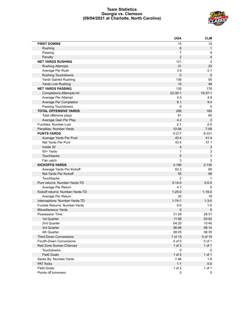#### **Team Statistics Georgia vs. Clemson (09/04/2021 at Charlotte, North Carolina)**



|                                  | <b>UGA</b>     | <b>CLM</b>              |
|----------------------------------|----------------|-------------------------|
| <b>FIRST DOWNS</b>               | 15             | 14                      |
| Rushing                          | 6              | $\mathbf{1}$            |
| Passing                          | $\overline{7}$ | 9                       |
| Penalty                          | $\overline{2}$ | $\overline{\mathbf{4}}$ |
| <b>NET YARDS RUSHING</b>         | 121            | $\overline{2}$          |
| <b>Rushing Attempts</b>          | 31             | 23                      |
| Average Per Rush                 | 3.9            | 0.1                     |
| <b>Rushing Touchdowns</b>        | $\mathbf 0$    | $\mathbf 0$             |
| <b>Yards Gained Rushing</b>      | 136            | 50                      |
| Yards Lost Rushing               | 15             | 48                      |
| <b>NET YARDS PASSING</b>         | 135            | 178                     |
| Completions-Attempts-Int         | $22 - 30 - 1$  | $19 - 37 - 1$           |
| Average Per Attempt              | 4.5            | 4.8                     |
| Average Per Completion           | 6.1            | 9.4                     |
| Passing Touchdowns               | $\mathbf 0$    | $\mathbf 0$             |
| <b>TOTAL OFFENSIVE YARDS</b>     | 256            | 180                     |
| Total offensive plays            | 61             | 60                      |
| Average Gain Per Play            | 4.2            | 3                       |
| Fumbles: Number-Lost             | $2 - 1$        | $2 - 0$                 |
| Penalties: Number-Yards          | 10-94          | $7 - 59$                |
| <b>PUNTS-YARDS</b>               | $5 - 217$      | 8-331                   |
| Average Yards Per Punt           | 43.4           | 41.4                    |
| Net Yards Per Punt               | 43.4           | 37.1                    |
| Inside 20                        | $\overline{4}$ | 3                       |
| 50+ Yards                        | 1              | $\overline{c}$          |
| <b>Touchbacks</b>                | 0              | $\mathbf{1}$            |
| Fair catch                       | 3              | 3                       |
| <b>KICKOFFS-YARDS</b>            | $3 - 190$      | $2 - 130$               |
| Average Yards Per Kickoff        | 63.3           | 65                      |
| Net Yards Per Kickoff            | 55             | 56                      |
| Touchbacks                       | $\overline{2}$ | 1                       |
| Punt returns: Number-Yards-TD    | $3 - 14 - 0$   | $0 - 0 - 0$             |
| Average Per Return               | 4.7            | 0                       |
| Kickoff returns: Number-Yards-TD | $1 - 25 - 0$   | $1 - 18 - 0$            |
| Average Per Return               | 25             | 18                      |
| Interceptions: Number-Yards-TD   | $1 - 74 - 1$   | $1 - 3 - 0$             |
| Fumble Returns: Number-Yards     | $0-0$          | $1 - 0$                 |
| <b>Miscellaneous Yards</b>       | 0              | $\mathbf 0$             |
| Possession Time                  | 31:29          | 28:31                   |
| 1st Quarter                      | 11:58          | 03:02                   |
| 2nd Quarter                      | 04:20          | 10:40                   |
| 3rd Quarter                      | 06:46          | 08:14                   |
| 4th Quarter                      | 08:25          | 06:35                   |
| <b>Third-Down Conversions</b>    | 7 of 15        | 5 of 16                 |
| Fourth-Down Conversions          | $0$ of $0$     | 0 of 1                  |
| Red Zone Scores-Chances          | $1$ of $3$     | 1 of 1                  |
| Touchdowns                       | $\mathbf 0$    | 0                       |
| <b>Field Goals</b>               | $1$ of $2$     | $1$ of $1$              |
| Sacks By: Number-Yards           | $7 - 46$       | $1 - 8$                 |
| <b>PAT Kicks</b>                 | $1 - 1$        | $0-0$                   |
| <b>Field Goals</b>               | $1$ of $2$     | 1 of 1                  |
| Points off turnovers             | 0              | 0                       |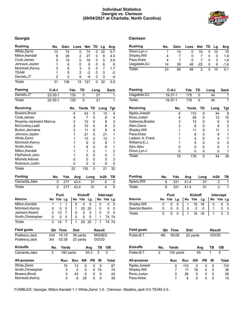#### **Individual Statistics Georgia vs. Clemson (09/04/2021 at Charlotte, North Carolina)**



#### **Georgia Clemson**

| <b>Rushing</b>           |                | No.            | Gain        |                | Loss           | Net                   | TD     |               | Lg              | Avg            |
|--------------------------|----------------|----------------|-------------|----------------|----------------|-----------------------|--------|---------------|-----------------|----------------|
| White, Zamir             |                | 13             | 74          |                | 0              | 74                    |        | 0             | 22              | 5.7            |
| Milton, Kendall          |                | 6              | 29          |                | 2              | 27                    |        | 0             | 8               | 4.5            |
| Cook, James              |                | 5              | 19          |                | 0              | 19                    |        | 0             | 5               | 3.8            |
| Johnson, Jaylen          |                | 1              | 6           |                | 0              | 6                     |        | 0             | 6               | 6              |
| McIntosh, Kenny          |                | 3              | 8           |                | 3              | 5                     |        | 0             | 7               | 1.7            |
| TEAM                     |                | 1              | 0           |                | $\overline{2}$ | $-2$                  |        | 0             | 0               | -2             |
| Daniels, JT              |                | $\overline{c}$ | 0           |                | 8              | -8                    |        | 0             | 0               | -4             |
| <b>Totals</b>            |                | 31             | 136         |                | 15             | 121                   |        | 0             | 22              | 3.9            |
| Passing                  | $C-A-I$        |                |             | Yds            | <b>TD</b>      |                       |        | Long          |                 | Sack           |
| Daniels, JT              | $22 - 30 - 1$  |                |             | 135            |                | 0                     |        | 21            |                 | 1              |
| <b>Totals</b>            | 22-30-1        |                |             | 135            |                | 0                     |        | 21            |                 | 1              |
| Receiving                |                |                |             | No.            |                | Yards                 | TD     |               | Long            | Tgt            |
| Bowers, Brock            |                |                |             | 6              |                | 43                    | 0      |               | 13              | 9              |
| Cook, James              |                |                |             | $\overline{4}$ |                | $\overline{7}$        | 0      |               | 6               | 4              |
| Rosemy-Jacksaint, Marcus |                |                |             | $\overline{c}$ |                | 12                    | 0      |               | 8               | 3              |
| McConkey, Ladd           |                |                |             | $\overline{2}$ |                | 12                    | 0      |               | 8               | $\overline{c}$ |
| Burton, Jermaine         |                |                |             | $\overline{2}$ |                | 11                    | 0      |               | 8               | 4              |
| Johnson, Jaylen          |                |                |             | 1              |                | 21                    | 0      |               | 21              | 1              |
| White, Zamir             |                |                |             | 1              |                | 13                    | 0      |               | 13              | 1              |
| McIntosh, Kenny          |                |                |             | 1              |                | 9                     | 0      |               | 9               | 1              |
| Smith, Arian             |                |                |             | 1              |                | 6                     | 0      |               | 6               | 1              |
| Milton, Kendall          |                |                |             | 1              |                | 1                     | 0      |               | 1               | $\overline{c}$ |
| FitzPatrick, John        |                |                |             | 1              |                | 0                     | 0      |               | 0               | 1              |
| Mitchell, Adonai         |                |                |             | 0              |                | 0                     | 0      |               | 0               | 3              |
| Robinson, Justin         |                |                |             |                |                |                       |        |               |                 |                |
| <b>Totals</b>            |                |                |             | 0<br>22        |                | 0<br>135              | 0<br>0 |               | 0<br>21         | 0<br>32        |
|                          |                |                |             |                |                |                       |        |               |                 |                |
| <b>Punting</b>           |                | No.            | Yds         |                | Avg            |                       | Long   |               | In20            | TВ             |
| Camarda, Jake            |                | 5              | 217         |                | 43.4           |                       | 51     |               | 4               | 0              |
| Totals                   |                | 5              | 217         |                | 43.4           |                       | 51     |               | 4               | 0              |
|                          |                | Punt           |             |                |                | Kickoff               |        |               | Intercept       |                |
| Returns                  | No             | Yds            | Lg          | No             | Yds            | Lg                    |        | No            |                 | Yds Lg         |
| Milton, Kendall          | 1              | 1              | 1           | 0              |                | 0                     | 0      | 0             | 0               | 0              |
| McIntosh, Kenny          | 0              | 0              | 0           | 1              |                | 25<br>25              |        | 0             | 0               | 0              |
| Jackson, Kearis          | $\overline{2}$ | 13             | 7           | 0              |                | 0                     | 0      | 0             | 0               | 0              |
| Smith, Christopher       | 0              | 0              | 0           | 0              |                | 0                     | 0      | 1             | 74              | 74             |
| <b>Totals</b>            | 3              | 14             | 7           | 1              |                | $\overline{25}$<br>25 |        | 1             | $\overline{74}$ | 74             |
| <b>Field goals</b>       | Qtr            |                | <b>Time</b> | Dist           |                |                       |        | <b>Result</b> |                 |                |
| Podlesny, Jack           | 2nd            |                | 14:19       |                | 36 yards       |                       |        | <b>MISSED</b> |                 |                |
| Podlesny, Jack           | 3rd            |                | 02:38       |                | 22 yards       |                       |        | GOOD          |                 |                |
| <b>Kickoffs</b>          | No.            |                | Yards       |                |                | Avg                   |        | TВ            | OВ              |                |
| Camarda, Jake            | 3              |                |             | 190 vards      |                | 63.3                  |        | 2             | 0               |                |
|                          |                |                |             |                |                |                       |        |               |                 |                |
| All-purpose              |                |                | Run         | <b>Rcv</b>     |                | <b>KR</b>             | PR     | IR            |                 | <b>Total</b>   |
| White, Zamir             |                |                | 74          | 13             |                | 0                     | 0      | 0             |                 | 87             |
| Smith, Christopher       |                |                | 0           |                | 0              | 0                     | 0      | 74            |                 | 74             |
| Bowers, Brock            |                |                | 0           | 43             |                | 0                     | 0      | 0             |                 | 43             |
| McIntosh, Kenny          |                |                | 5           |                | 9              | 25                    | 0      | 0             |                 | 39             |

| Rushing       | No. | Gain | <b>Loss</b> | Net TD |   | La | Avg    |
|---------------|-----|------|-------------|--------|---|----|--------|
| Dixon, Lyn-J  |     | 10   |             | 10     |   | 10 | 10     |
| Shipley, Will | 4   |      |             |        |   |    | 1.8    |
| Pace,Kobe     | 4   |      |             |        |   |    | 1.8    |
| Uiagalelei,DJ | 14  | 26   | 48          | -22    | O | 9  | $-1.6$ |
| Totals        | 23  | 50   | 48          |        |   | 10 | 0.1    |

| Passing           | C-A-I   | Yds   | TD     | Long | <b>Sack</b> |
|-------------------|---------|-------|--------|------|-------------|
| Uiagalelei, DJ    | 19-37-1 | 178   | 0      | 44   | 7           |
| Totals            | 19-37-1 | 178   | 0      | 44   | 7           |
| Receiving         | No.     | Yards | TD     | Long | Tgt         |
| Ngata, Joseph     | 6       | 110   | 0      | 44   | 8           |
| Ross, Justyn      | 4       | 26    | 0      | 12   | 10          |
| Galloway, Braden  | 3       | 13    | ი      | 6    | 6           |
| Allen, Davis      | 2       |       | 8<br>n | 8    | 2           |
| Shipley, Will     |         | 11    | ი      | 11   | 1           |
| Pace, Kobe        |         |       | 6<br>0 | 6    | 1           |
| Ladson Jr., Frank |         |       | 4<br>ი | 4    | 7           |
| Williams, E.J.    |         |       | ი<br>ი | 0    | 2           |
| Ajou, Ajou        | O       |       | ი<br>n | 0    | 1           |
| Dixon, Lyn-J      | ი       |       | ი<br>ი | O    | 1           |
| Totals            | 19      | 178   | 0      | 44   | 39          |

| <b>Punting</b> | No. | Yds | Avg  | Long | ln20 | TB. |
|----------------|-----|-----|------|------|------|-----|
| Spiers, Will   | 8   | 331 | 41.4 | 51   |      |     |
| Totals         |     | 331 | 41.4 | 51   |      |     |

|                 | Punt      |   |  |   | <b>Kickoff</b> |      |  |  | Intercept |   |  |
|-----------------|-----------|---|--|---|----------------|------|--|--|-----------|---|--|
| <b>Returns</b>  | No Yds Lg |   |  |   | No Yds         | - La |  |  | No Yds Lg |   |  |
| Shipley, Will   |           |   |  |   | 18             | 18   |  |  |           |   |  |
| Spector, Baylon |           | 0 |  | 0 |                |      |  |  |           | 3 |  |
| Totals          |           |   |  |   | 18             |      |  |  |           |   |  |

| <b>Field goals</b> | Qtr | Time      | <b>Dist</b> |          |     | <b>Result</b> |       |
|--------------------|-----|-----------|-------------|----------|-----|---------------|-------|
| Potter, B.T.       | 4th | 09:08     |             | 22 yards |     | GOOD          |       |
| <b>Kickoffs</b>    | No. | Yards     |             |          | Avg | тв            | OВ    |
| Potter, B.T.       | 2   | 130 yards |             | 65       |     | 1             | 0     |
| All-purpose        |     | Run       | <b>Rcv</b>  | ΚR       | РR  | ΙR            | Total |
| Ngata, Joseph      |     | 0         | 110         | 0        | 0   | 0             | 110   |
| Shipley, Will      |     | 7         | 11          | 18       | 0   | 0             | 36    |
| Ross, Justyn       |     | 0         | 26          | 0        | 0   | 0             | 26    |
| Pace, Kobe         |     | 7         | 6           | 0        | 0   | 0             | 13    |

FUMBLES: Georgia- Milton,Kendall 1-1 White,Zamir 1-0 . Clemson- Maddox,Jack 0-0 TEAM 2-0 .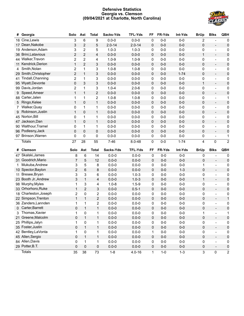#### **Defensive Statistics Georgia vs. Clemson (09/04/2021 at Charlotte, North Carolina)**



| #  | Georgia               | Solo           | Ast            | <b>Total</b>   | Sacks-Yds  | <b>TFL-Yds</b> | FF | FR-Yds | Int-Yds  | <b>BrUp</b>             | <b>Blks</b>                  | <b>QBH</b>     |
|----|-----------------------|----------------|----------------|----------------|------------|----------------|----|--------|----------|-------------------------|------------------------------|----------------|
|    | 16 Cine, Lewis        | 3              | 6              | 9              | $0.0 - 0$  | $0.0 - 0$      | 0  | $0-0$  | $0-0$    | $\overline{2}$          |                              | 0              |
| 17 | Dean, Nakobe          | 3              | $\overline{2}$ | 5              | $2.0 - 14$ | $2.0 - 14$     | 0  | $0-0$  | $0-0$    | $\pmb{0}$               | $\overline{\phantom{a}}$     | 0              |
|    | 19 Anderson, Adam     | 3              | $\overline{2}$ | 5              | $1.0 - 3$  | $1.0 - 3$      | 0  | $0-0$  | $0-0$    | 0                       | $\qquad \qquad \blacksquare$ | 0              |
|    | 36 Brini, Latavious   | $\overline{2}$ | $\overline{2}$ | 4              | $0.0 - 0$  | $0.0 - 0$      | 0  | $0-0$  | $0-0$    | $\mathbf{1}$            | $\overline{\phantom{a}}$     | 0              |
|    | 44 Walker, Travon     | 2              | $\overline{2}$ | 4              | $1.0 - 9$  | $1.0 - 9$      | 0  | $0-0$  | $0-0$    | 0                       | $\qquad \qquad \blacksquare$ | 0              |
| 11 | Kendrick, Derion      | $\mathbf{1}$   | $\overline{2}$ | 3              | $0.0 - 0$  | $0.0 - 0$      | 0  | $0-0$  | $0-0$    | $\pmb{0}$               | $\frac{1}{2}$                | 0              |
| 4  | Smith, Nolan          | 2              | $\mathbf{1}$   | 3              | $1.0 - 8$  | $1.0 - 8$      | 0  | $0-0$  | $0-0$    | 0                       | $\qquad \qquad \blacksquare$ | 0              |
|    | 29 Smith, Christopher | $\overline{2}$ | $\mathbf{1}$   | 3              | $0.0 - 0$  | $0.0 - 0$      | 0  | $0-0$  | $1 - 74$ | $\pmb{0}$               | $\frac{1}{2}$                | 0              |
| 41 | Tindall, Channing     | 2              | $\mathbf{1}$   | 3              | $0.0 - 0$  | $0.0 - 0$      | 0  | $0-0$  | $0-0$    | 0                       | $\frac{1}{2}$                | 0              |
|    | 95 Wyatt, Devonte     | $\mathbf 0$    | $\mathsf 3$    | 3              | $0.0 - 0$  | $0.0 - 0$      | 0  | $0-0$  | $0-0$    | $\mathbf{1}$            | $\overline{\phantom{a}}$     | 0              |
|    | 99 Davis, Jordan      | $\overline{2}$ | 1              | 3              | $1.0 - 4$  | $2.0 - 6$      | 0  | $0-0$  | $0-0$    | 0                       | $\frac{1}{2}$                | 0              |
| 9  | Speed, Ameer          | $\mathbf{1}$   | $\mathbf{1}$   | $\overline{2}$ | $0.0 - 0$  | $0.0 - 0$      | 0  | $0-0$  | $0-0$    | $\pmb{0}$               | $\frac{1}{2}$                | 0              |
|    | 88 Carter, Jalen      | 1              | 1              | 2              | $1.0 - 8$  | $1.0 - 8$      | 0  | $0-0$  | $0-0$    | 0                       | $\frac{1}{2}$                | 1              |
| 5  | Ringo, Kelee          | $\mathbf{1}$   | 0              | $\mathbf{1}$   | $0.0 - 0$  | $0.0 - 0$      | 0  | $0-0$  | $0-0$    | $\pmb{0}$               | $\frac{1}{2}$                | 0              |
| 7  | Walker, Quay          | 0              | 1              | 1              | $0.0 - 0$  | $0.0 - 0$      | 0  | $0-0$  | $0-0$    | 0                       | $\qquad \qquad \blacksquare$ | 0              |
| 9  | Robinson, Justin      | $\mathbf{1}$   | 0              | $\mathbf{1}$   | $0.0 - 0$  | $0.0 - 0$      | 0  | $0-0$  | $0-0$    | $\pmb{0}$               | $\frac{1}{2}$                | 0              |
|    | 45 Norton, Bill       | 0              | 1              | 1              | $0.0 - 0$  | $0.0 - 0$      | 0  | $0-0$  | $0-0$    | 0                       | $\qquad \qquad \blacksquare$ | 0              |
|    | 47 Jackson, Dan       | $\mathbf{1}$   | 0              | $\mathbf{1}$   | $0.0 - 0$  | $0.0 - 0$      | 0  | $0-0$  | $0-0$    | $\pmb{0}$               | $\frac{1}{2}$                | 0              |
|    | 90 Walthour, Tramel   | 0              | 1              | 1              | $0.0 - 0$  | $0.0 - 0$      | 0  | $0-0$  | $0-0$    | 0                       | $\qquad \qquad \blacksquare$ | 0              |
|    | 96 Podlesny, Jack     | $\mathbf 0$    | 0              | 0              | $0.0 - 0$  | $0.0 - 0$      | 0  | $0-0$  | $0-0$    | $\pmb{0}$               | $\overline{\phantom{a}}$     | 0              |
|    | 97 Brinson, Warren    | $\mathbf 0$    | 0              | 0              | $0.0 - 0$  | $0.0 - 0$      | 0  | $0-0$  | $0-0$    | 0                       | $\overline{a}$               | 1              |
|    | <b>Totals</b>         | 27             | 28             | 55             | $7 - 46$   | $8.0 - 48$     | 0  | $0-0$  | $1 - 74$ | $\overline{\mathbf{4}}$ | $\mathbf 0$                  | $\overline{2}$ |
|    |                       |                |                |                |            |                |    |        |          |                         |                              |                |
| #  | Clemson               | Solo           | Ast            | <b>Total</b>   | Sacks-Yds  | <b>TFL-Yds</b> | FF | FR-Yds | Int-Yds  | <b>BrUp</b>             | <b>Blks</b>                  | QBH            |
| 47 | Skalski, James        | 8              | 6              | 14             | $0.0 - 0$  | $0.0 - 0$      | 0  | $0-0$  | $0-0$    | 0                       | $\overline{\phantom{a}}$     | 0              |
|    | 31 Goodrich, Mario    | $\overline{7}$ | 5              | 12             | $0.0 - 0$  | $0.0 - 0$      | 0  | $0-0$  | $0-0$    | 0                       | $\overline{\phantom{a}}$     | $\pmb{0}$      |
| 1  | Mukuba, Andrew        | 3              | 5              | 8              | $0.0 - 0$  | $0.0 - 0$      | 0  | $0-0$  | $0-0$    | 1                       | $\overline{\phantom{a}}$     | 0              |
|    | 10 Spector, Baylon    | $\overline{2}$ | 6              | 8              | $0.0 - 0$  | $0.0 - 0$      | 0  | $0-0$  | $1 - 3$  | $\pmb{0}$               | $\overline{\phantom{a}}$     | $\pmb{0}$      |
| 11 | Bresee, Bryan         | 3              | 3              | 6              | $0.0 - 0$  | $1.0 - 3$      | 0  | $0-0$  | $0-0$    | 0                       | $\overline{\phantom{a}}$     | 0              |
|    | 23 Booth Jr., Andrew  | 3              | $\mathbf{1}$   | 4              | $0.0 - 0$  | $1.0 - 3$      | 0  | $0-0$  | $0-0$    | $\mathbf{1}$            | $\overline{\phantom{a}}$     | $\pmb{0}$      |
|    | 98 Murphy, Myles      | 1              | 3              | 4              | $1.0 - 8$  | $1.5 - 9$      | 0  | $0-0$  | $0-0$    | 0                       | $\overline{\phantom{a}}$     | 0              |
|    | 33 Orhorhoro, Ruke    | $\mathbf{1}$   | $\overline{2}$ | 3              | $0.0 - 0$  | $0.5 - 1$      | 0  | $0-0$  | $0-0$    | $\pmb{0}$               | $\overline{\phantom{a}}$     | $\pmb{0}$      |
|    | 18 Charleston, Joseph | $\overline{c}$ | $\pmb{0}$      | 2              | $0.0 - 0$  | $0.0 - 0$      | 0  | $0-0$  | $0-0$    | 0                       | $\overline{\phantom{a}}$     | 0              |
|    | 22 Simpson, Trenton   | $\mathbf{1}$   | $\mathbf{1}$   | $\overline{2}$ | $0.0 - 0$  | $0.0 - 0$      | 0  | $0-0$  | $0-0$    | $\pmb{0}$               | $\overline{\phantom{a}}$     | $\mathbf{1}$   |
|    | 36 Zanders, Lannden   | 1              | 1              | 2              | $0.0 - 0$  | $0.0 - 0$      | 0  | $0-0$  | $0-0$    | 0                       | $\overline{\phantom{a}}$     | $\pmb{0}$      |
|    | 0 Carter, Barrett     | 0              | 1              | $\mathbf{1}$   | $0.0 - 0$  | $0.0 - 0$      | 0  | $0-0$  | $0-0$    | $\pmb{0}$               | $\overline{\phantom{a}}$     | 0              |
|    | 3 Thomas, Xavier      | 1              | 0              |                | $0.0 - 0$  | $0.0 - 0$      | 0  | $0-0$  | $0-0$    | 1                       | $\overline{\phantom{a}}$     |                |
|    | 21 Greene, Malcolm    | 0              | $\mathbf{1}$   | $\mathbf{1}$   | $0.0 - 0$  | $0.0 - 0$      | 0  | $0-0$  | $0-0$    | 0                       | $\blacksquare$               | 0              |
|    | 25 Phillips, Jalyn    | 1              | $\pmb{0}$      | 1              | $0.0 - 0$  | $0.0 - 0$      | 0  | $0-0$  | $0-0$    | 0                       | $\overline{\phantom{a}}$     | 0              |
|    | 35 Foster, Justin     | 0              | $\mathbf 1$    | $\mathbf{1}$   | $0.0 - 0$  | $0.0 - 0$      | 0  | $0-0$  | $0-0$    | $\mathsf 0$             | $\overline{\phantom{a}}$     | 0              |
|    | 42 Bentley, La Vonta  | 1              | $\pmb{0}$      | 1              | $0.0 - 0$  | $0.0 - 0$      | 1  | $0-0$  | $0-0$    | 0                       | $\overline{\phantom{a}}$     | 0              |
|    | 45 Allen, Sergio      | 0              | $\mathbf{1}$   | $\mathbf{1}$   | $0.0 - 0$  | $0.0 - 0$      | 0  | $0-0$  | $0-0$    | $\pmb{0}$               | $\overline{\phantom{a}}$     | 0              |
|    | 84 Allen, Davis       | 0              | $\mathbf{1}$   | 1              | $0.0 - 0$  | $0.0 - 0$      | 0  | $0-0$  | $0-0$    | 0                       | $\blacksquare$               | 0              |
|    | 29 Potter, B.T.       | 0              | $\pmb{0}$      | 0              | $0.0 - 0$  | $0.0 - 0$      | 0  | $0-0$  | $0-0$    | 0                       | $\overline{\phantom{a}}$     | 0              |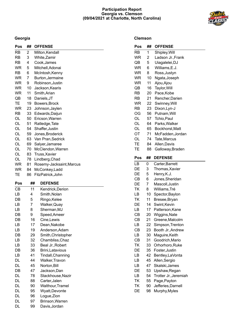#### **Participation Report Georgia vs. Clemson (09/04/2021 at Charlotte, North Carolina)**

**Clemson**



## **Georgia**

| Pos       | ##       | <b>OFFENSE</b>                   |
|-----------|----------|----------------------------------|
| <b>RB</b> | 2        | Milton, Kendall                  |
| RB        | 3        | White, Zamir                     |
| RB        | 4        | Cook, James                      |
| WR        | 5        | Mitchell, Adonai                 |
| RB        | 6        | McIntosh, Kenny                  |
| WR        | 7        | Burton, Jermaine                 |
| WR        | 9        | Robinson, Justin                 |
| <b>WR</b> | 10       | Jackson, Kearis                  |
| WR        | 11       | Smith, Arian                     |
| QB        | 18       | Daniels, JT                      |
| TЕ        | 19       | Bowers, Brock                    |
| WR        | 23       | Johnson, Jaylen                  |
| RB        | 33       | Edwards, Daijun                  |
| OL        | 50       | Ericson, Warren                  |
| OL        | 51       | Ratledge, Tate                   |
| OL        | 54       | Shaffer, Justin                  |
| OL        | 59       | Jones, Broderick                 |
| OL        | 63       | Van Pran, Sedrick                |
| OL        | 69       | Salyer, Jamaree                  |
| OL        | 70       | McClendon, Warren                |
| OL        | 83       | Truss, Xavier                    |
| OL        | 78       | Lindberg, Chad                   |
| WR        | 81       | Rosemy-Jacksaint, Marcus         |
| WR        | 84       | McConkey, Ladd                   |
| TЕ        | 86       | FitzPatrick, John                |
| Pos       | ##       | <b>DEFENSE</b>                   |
|           |          |                                  |
| <b>CB</b> | 11       | Kendrick, Derion                 |
| LB        | 4        | Smith, Nolan                     |
| DB        | 5        | Ringo, Kelee                     |
| LВ        | 7        | Walker, Quay                     |
| LВ        | 8        | Sherman, MJ                      |
| DB        | 9        | Speed, Ameer                     |
| DB        | 16       | Cine, Lewis                      |
| LВ        | 17       | Dean, Nakobe                     |
| LВ        | 19       | Anderson, Adam                   |
| DB        | 29       | Smith, Christopher               |
| LВ        | 32       | Chambliss, Chaz                  |
| LВ        | 33       | Beal Jr., Robert                 |
| DB        | 36       | Brini, Latavious                 |
| LВ        | 41       | Tindall, Channing                |
| DL        | 44       | Walker, Travon                   |
| DL        | 45       | Norton, Bill                     |
| DB        | 47       | Jackson,Dan                      |
| DL        | 78       | Stackhouse, Nazir                |
| DL        |          |                                  |
|           | 88       | Carter, Jalen                    |
| DL        | 90       | Walthour, Tramel                 |
| DL        | 95       | Wyatt, Devonte                   |
| DL        | 96       | Logue, Zion                      |
| DL<br>DL  | 97<br>99 | Brinson, Warren<br>Davis, Jordan |

| Pos       | ## | <b>OFFENSE</b>                         |
|-----------|----|----------------------------------------|
| <b>RB</b> | 1  | Shipley, Will                          |
| <b>WR</b> | 2  | Ladson Jr., Frank                      |
| QB        | 5  | Uiagalelei, DJ                         |
| WR        | 6  | Williams, E.J.                         |
| WR        | 8  | Ross, Justyn                           |
| <b>WR</b> | 10 | Ngata, Joseph                          |
| <b>WR</b> | 11 | Ajou, Ajou                             |
| QB        | 16 | Taylor, Will                           |
| <b>RB</b> | 20 | Pace, Kobe                             |
| RB        | 21 | Rencher, Darien                        |
| WR        | 22 | Swinney, Will                          |
| RB        | 23 | Dixon, Lyn-J                           |
| ОG        | 56 | Putnam, Will                           |
| OL        | 57 | Tchio, Paul                            |
| OL        | 64 | Parks, Walker                          |
| OL        | 65 | Bockhorst, Matt                        |
| ОT        | 71 | McFadden, Jordan                       |
| OL        | 74 | Tate, Marcus                           |
| TE        | 84 | Allen, Davis                           |
| TЕ        | 88 | Galloway, Braden                       |
| Pos       | ## | <b>DEFENSE</b>                         |
| LB        | 0  | Carter, Barrett                        |
| DE        | 3  | Thomas, Xavier                         |
| DE        | 5  | Henry, K.J.                            |
| СB        | 6  | Jones, Sheridan                        |
| DE        | 7  | Mascoll, Justin                        |
| ΤK        | 8  | Williams, Tré                          |
| LВ        | 10 | Spector, Baylon                        |
| ΤK        | 11 | Bresee, Bryan                          |
| DE        | 14 | Swint, Kevin                           |
| LB        | 17 | Patterson, Kane                        |
| СB        | 20 | Wiggins, Nate                          |
| СB        | 21 | Greene, Malcolm                        |
| LВ        | 22 | Simpson, Trenton                       |
| СB        | 23 | Booth Jr., Andrew                      |
| LВ        | 30 | Maguire, Keith                         |
| СB        | 31 | Goodrich, Mario                        |
| ΤK        | 33 | Orhorhoro, Ruke                        |
| DE        | 35 | Foster, Justin                         |
| LВ        | 42 | Bentley,LaVonta                        |
| LВ        | 45 | Allen, Sergio                          |
| LΒ        | 47 | Skalski, James                         |
| DE        |    |                                        |
|           | 53 |                                        |
| LВ        | 54 | Upshaw, Regan<br>Trotter Jr., Jeremiah |

- TK 90 Jefferies,Darnell
- DE 98 Murphy,Myles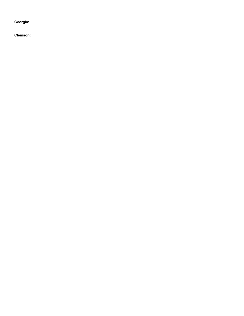**Georgia:**

**Clemson:**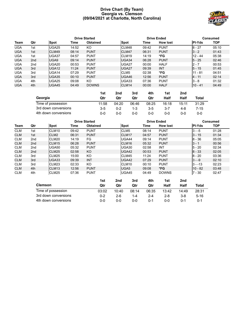#### **Drive Chart (By Team) Georgia vs. Clemson (09/04/2021 at Charlotte, North Carolina)**



|            |                 |                    |       | <b>Drive Started</b> |                  | <b>Drive Ended</b> | Consumed        |               |            |
|------------|-----------------|--------------------|-------|----------------------|------------------|--------------------|-----------------|---------------|------------|
| Team       | Qtr             | Spot               | Time  | <b>Obtained</b>      | Spot             | Time               | <b>How lost</b> | <b>PI-Yds</b> | <b>TOP</b> |
| <b>UGA</b> | 1st             | UGA25              | 14:52 | KO                   | CLM48            | 09:42              | <b>PUNT</b>     | $8 - 27$      | 05:10      |
| <b>UGA</b> | 1st             | CLM49              | 08:14 | <b>PUNT</b>          | CLM47            | 06:31              | <b>PUNT</b>     | $3 - 2$       | 01:43      |
| <b>UGA</b> | 1st             | UGA37              | 04:57 | <b>PUNT</b>          | CLM19            | 14:19              | *FG             | $12 - 44$     | 05:38      |
| <b>UGA</b> | 2 <sub>nd</sub> | UGA9               | 09:14 | <b>PUNT</b>          | UGA34            | 06:28              | <b>PUNT</b>     | $5 - 25$      | 02:46      |
| <b>UGA</b> | 2 <sub>nd</sub> | UGA <sub>20</sub>  | 00:53 | <b>PUNT</b>          | UGA27            | 00:00              | <b>HALF</b>     | $2 - 7$       | 00:53      |
| <b>UGA</b> | 3rd             | IUGA <sub>12</sub> | 11:24 | <b>PUNT</b>          | UGA27            | 09:39              | <b>INT</b>      | $5 - 15$      | 01:45      |
| <b>UGA</b> | 3rd             | UGA <sub>14</sub>  | 07:29 | <b>PUNT</b>          | CLM <sub>5</sub> | 02:38              | *FG             | $11 - 81$     | 04:51      |
| <b>UGA</b> | 3rd             | UGA35              | 00:10 | <b>PUNT</b>          | UGA46            | 12:56              | <b>PUNT</b>     | 4 - 11        | 02:14      |
| <b>UGA</b> | 4th             | UGA25              | 09:08 | KO.                  | UGA33            | 07:36              | <b>PUNT</b>     | $3 - 8$       | 01:32      |
| <b>UGA</b> | 4th             | UGA45              | 04:49 | <b>DOWNS</b>         | CLM14            | 00:00              | <b>HALF</b>     | $10 - 41$     | 04:49      |

|                      | 1st     | 2nd   | 3rd   | 4th     | 1st   | 2nd     |       |
|----------------------|---------|-------|-------|---------|-------|---------|-------|
| Georgia              | Qtr     | Qtr   | Qtr   | Qtr     | Half  | Half    | Total |
| Time of possession   | 11:58   | 04:20 | 06:46 | 08:25   | 16:18 | 15:11   | 31:29 |
| 3rd down conversions | $3 - 5$ | 0-2   | 1-3   | $3 - 5$ | 3-7   | $4 - 8$ | 7-15  |
| 4th down conversions | 0-0     | 0-0   | 0-0   | 0-0     | 0-0   | 0-0     | 0-0   |

|            |                 |                   |       | <b>Drive Started</b> |                  | <b>Drive Ended</b> | <b>Consumed</b> |               |            |
|------------|-----------------|-------------------|-------|----------------------|------------------|--------------------|-----------------|---------------|------------|
| Team       | Qtr             | Spot              | Time  | <b>Obtained</b>      | Spot             | Time               | <b>How lost</b> | <b>PI-Yds</b> | <b>TOP</b> |
| <b>CLM</b> | 1st             | CLM <sub>10</sub> | 09:42 | <b>PUNT</b>          | CLM <sub>5</sub> | 08:14              | <b>PUNT</b>     | $3 - -5$      | 01:28      |
| <b>CLM</b> | 1st             | CLM <sub>2</sub>  | 06:31 | <b>PUNT</b>          | CLM17            | 04:57              | <b>PUNT</b>     | $3 - 15$      | 01:34      |
| <b>CLM</b> | 2 <sub>nd</sub> | CLM20             | 14:19 | FG                   | UGA44            | 09:14              | <b>PUNT</b>     | $8 - 36$      | 05:05      |
| <b>CLM</b> | 2 <sub>nd</sub> | CLM <sub>15</sub> | 06:28 | <b>PUNT</b>          | CLM16            | 05:32              | <b>PUNT</b>     | $3 - 1$       | 00:56      |
| <b>CLM</b> | 2 <sub>nd</sub> | UGA50             | 05:32 | <b>PUNT</b>          | UGA30            | 02:58              | <b>INT</b>      | $5 - 20$      | 02:34      |
| <b>CLM</b> | 2 <sub>nd</sub> | CLM <sub>25</sub> | 02:58 | KO.                  | UGA42            | 00:53              | <b>PUNT</b>     | $ 8 - 33$     | 02:05      |
| <b>CLM</b> | 3rd             | CLM <sub>25</sub> | 15:00 | KO                   | CLM45            | 11:24              | <b>PUNT</b>     | $8 - 20$      | 03:36      |
| <b>CLM</b> | 3rd             | UGA33             | 09:39 | <b>INT</b>           | UGA42            | 07:29              | <b>PUNT</b>     | $3 - -9$      | 02:10      |
| <b>CLM</b> | 3rd             | CLM <sub>23</sub> | 02:33 | KO.                  | CLM10            | 00:10              | <b>PUNT</b>     | $3 - -13$     | 02:23      |
| <b>CLM</b> | 4th             | CLM <sub>13</sub> | 12:56 | <b>PUNT</b>          | UGA <sub>5</sub> | 09:08              | *FG             | $10 - 82$     | 03:48      |
| <b>CLM</b> | 4th             | CLM <sub>25</sub> | 07:36 | <b>PUNT</b>          | UGA45            | 04:49              | <b>DOWNS</b>    | $7 - 30$      | 02:47      |

|                      | 1st     | 2nd   | 3rd     | 4th     | 1st     | 2nd   |          |
|----------------------|---------|-------|---------|---------|---------|-------|----------|
| <b>Clemson</b>       | Qtr     | Qtr   | Qtr     | Qtr     | Half    | Half  | Total    |
| Time of possession   | 03:02   | 10:40 | 08:14   | 06:35   | 13:42   | 14:49 | 28:31    |
| 3rd down conversions | $0 - 2$ | $2-6$ | $1 - 4$ | $2 - 4$ | $2 - 8$ | 3-8   | $5 - 16$ |
| 4th down conversions | ი-ი     | ი-ი   | 0-0     | 0-1     | $0 - 0$ | 0-1   | $0 - 1$  |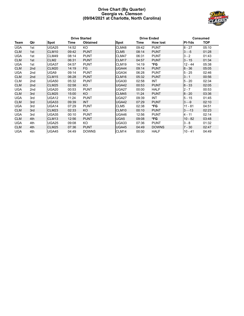#### **Drive Chart (By Quarter) Georgia vs. Clemson (09/04/2021 at Charlotte, North Carolina)**



|            |                 |                   |       | <b>Drive Started</b> |                  |       | <b>Drive Ended</b> |               | <b>Consumed</b> |
|------------|-----------------|-------------------|-------|----------------------|------------------|-------|--------------------|---------------|-----------------|
| Team       | Qtr             | <b>Spot</b>       | Time  | <b>Obtained</b>      | <b>Spot</b>      | Time  | <b>How lost</b>    | <b>PI-Yds</b> | <b>TOP</b>      |
| <b>UGA</b> | 1st             | <b>UGA25</b>      | 14:52 | KO                   | CLM48            | 09:42 | <b>PUNT</b>        | $8 - 27$      | 05:10           |
| <b>CLM</b> | 1st             | CLM <sub>10</sub> | 09:42 | <b>PUNT</b>          | CLM <sub>5</sub> | 08:14 | <b>PUNT</b>        | $3 - -5$      | 01:28           |
| UGA        | 1st             | CLM49             | 08:14 | <b>PUNT</b>          | CLM47            | 06:31 | <b>PUNT</b>        | $3 - 2$       | 01:43           |
| <b>CLM</b> | 1st             | CLM <sub>2</sub>  | 06:31 | <b>PUNT</b>          | CLM17            | 04:57 | <b>PUNT</b>        | $3 - 15$      | 01:34           |
| <b>UGA</b> | 1st             | UGA37             | 04:57 | <b>PUNT</b>          | CLM19            | 14:19 | *FG                | $12 - 44$     | 05:38           |
| <b>CLM</b> | 2nd             | CLM20             | 14:19 | FG                   | UGA44            | 09:14 | <b>PUNT</b>        | $8 - 36$      | 05:05           |
| <b>UGA</b> | 2nd             | UGA9              | 09:14 | <b>PUNT</b>          | UGA34            | 06:28 | <b>PUNT</b>        | $5 - 25$      | 02:46           |
| <b>CLM</b> | 2 <sub>nd</sub> | CLM15             | 06:28 | <b>PUNT</b>          | CLM16            | 05:32 | <b>PUNT</b>        | $3 - 1$       | 00:56           |
| <b>CLM</b> | 2nd             | UGA50             | 05:32 | <b>PUNT</b>          | UGA30            | 02:58 | <b>INT</b>         | $5 - 20$      | 02:34           |
| <b>CLM</b> | 2 <sub>nd</sub> | <b>CLM25</b>      | 02:58 | KO                   | UGA42            | 00:53 | <b>PUNT</b>        | $8 - 33$      | 02:05           |
| UGA        | 2nd             | UGA20             | 00:53 | <b>PUNT</b>          | UGA27            | 00:00 | HALF               | $2 - 7$       | 00:53           |
| <b>CLM</b> | 3rd             | CLM <sub>25</sub> | 15:00 | KO.                  | CLM45            | 11:24 | <b>PUNT</b>        | $8 - 20$      | 03:36           |
| <b>UGA</b> | 3rd             | UGA12             | 11:24 | <b>PUNT</b>          | UGA27            | 09:39 | <b>INT</b>         | $5 - 15$      | 01:45           |
| <b>CLM</b> | 3rd             | UGA33             | 09:39 | <b>INT</b>           | UGA42            | 07:29 | <b>PUNT</b>        | $3 - -9$      | 02:10           |
| <b>UGA</b> | 3rd             | UGA14             | 07:29 | <b>PUNT</b>          | CLM <sub>5</sub> | 02:38 | *FG                | $11 - 81$     | 04:51           |
| <b>CLM</b> | 3rd             | CLM23             | 02:33 | KO                   | CLM10            | 00:10 | <b>PUNT</b>        | $3 - -13$     | 02:23           |
| UGA        | 3rd             | UGA35             | 00:10 | <b>PUNT</b>          | UGA46            | 12:56 | <b>PUNT</b>        | 4 - 11        | 02:14           |
| <b>CLM</b> | 4th             | CLM13             | 12:56 | <b>PUNT</b>          | UGA <sub>5</sub> | 09:08 | *FG                | $10 - 82$     | 03:48           |
| UGA        | 4th             | UGA25             | 09:08 | KO                   | UGA33            | 07:36 | <b>PUNT</b>        | $3 - 8$       | 01:32           |
| <b>CLM</b> | 4th             | <b>CLM25</b>      | 07:36 | <b>PUNT</b>          | UGA45            | 04:49 | <b>DOWNS</b>       | $7 - 30$      | 02:47           |
| <b>UGA</b> | 4th             | UGA45             | 04:49 | <b>DOWNS</b>         | CLM14            | 00:00 | <b>HALF</b>        | $10 - 41$     | 04:49           |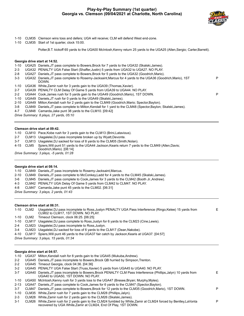

P

- 1-10 CLM35 Clemson wins toss and defers; UGA will receive; CLM will defend West end-zone.
- 1-10 CLM35 Start of 1st quarter, clock 15:00.

Potter,B.T. kickoff 65 yards to the UGA00 McIntosh,Kenny return 25 yards to the UGA25 (Allen,Sergio; Carter,Barrett).

#### **Georgia drive start at 14:52.**

|  |  |  |  |  |  | 1-10 UGA25 Daniels, JT pass complete to Bowers, Brock for 7 yards to the UGA32 (Skalski, James). |  |
|--|--|--|--|--|--|--------------------------------------------------------------------------------------------------|--|
|--|--|--|--|--|--|--------------------------------------------------------------------------------------------------|--|

- 2-3 UGA32 PENALTY UGA False Start (Shaffer,Justin) 5 yards from UGA32 to UGA27. NO PLAY.
- 2-8 UGA27 Daniels,JT pass complete to Bowers,Brock for 5 yards to the UGA32 (Goodrich,Mario).
- 3-3 UGA32 Daniels,JT pass complete to Rosemy-Jacksaint,Marcus for 4 yards to the UGA36 (Goodrich,Mario), 1ST DOWN. P 1-10 UGA36 White,Zamir rush for 3 yards gain to the UGA39 (Thomas,Xavier). 2-7 UGA39 PENALTY CLM Delay Of Game 5 yards from UGA39 to UGA44. NO PLAY.
- 2-2 UGA44 Cook,James rush for 5 yards gain to the UGA49 (Goodrich,Mario), 1ST DOWN. P
- 1-10 UGA49 Daniels,JT rush for 0 yards to the UGA49 (Skalski,James).
- 2-10 UGA49 Milton,Kendall rush for 2 yards gain to the CLM49 (Goodrich,Mario; Spector,Baylon).
- 3-8 CLM49 Daniels,JT pass complete to Milton,Kendall for 1 yard to the CLM48 (Spector,Baylon; Skalski,James).
- 4-7 CLM48 Camarda,Jake punt 38 yards to the CLM10. [09:42]

*Drive Summary: 8 plays, 27 yards, 05:10*

#### **Clemson drive start at 09:42.**

1-10 CLM10 Pace,Kobe rush for 3 yards gain to the CLM13 (Brini,Latavious).

- 2-7 CLM13 Uiagalelei,DJ pass incomplete broken up by Wyatt,Devonte.
- 3-7 CLM13 Uiagalelei,DJ sacked for loss of 8 yards to the CLM05 (Smith,Nolan).
- 4-15 CLM5 Spiers,Will punt 51 yards to the UGA44 Jackson,Kearis return 7 yards to the CLM49 (Allen,Davis; Goodrich,Mario). [08:14]

*Drive Summary: 3 plays, -5 yards, 01:28*

#### **Georgia drive start at 08:14.**

1-10 CLM49 Daniels,JT pass incomplete to Rosemy-Jacksaint,Marcus.

- 2-10 CLM49 Daniels,JT pass complete to McConkey,Ladd for 4 yards to the CLM45 (Skalski,James).
- 3-6 CLM45 Daniels,JT pass complete to Cook,James for 3 yards to the CLM42 (Booth Jr.,Andrew).
- 4-3 CLM42 PENALTY UGA Delay Of Game 5 yards from CLM42 to CLM47. NO PLAY.
- 4-8 CLM47 Camarda,Jake punt 45 yards to the CLM02. [06:31]

*Drive Summary: 3 plays, 2 yards, 01:43*

#### **Clemson drive start at 06:31.**

1-10 CLM2 Uiagalelei,DJ pass incomplete to Ross,Justyn PENALTY UGA Pass Interference (Ringo,Kelee) 15 yards from CLM02 to CLM17, 1ST DOWN. NO PLAY. E 1-10 CLM2 Timeout Clemson, clock 06:25. [06:25] 1-10 CLM17 Uiagalelei,DJ pass complete to Ross,Justyn for 6 yards to the CLM23 (Cine,Lewis). 2-4 CLM23 Uiagalelei,DJ pass incomplete to Ross,Justyn. 3-4 CLM23 Uiagalelei,DJ sacked for loss of 6 yards to the CLM17 (Dean,Nakobe).

- 
- 4-10 CLM17 Spiers,Will punt 46 yards to the UGA37 fair catch by Jackson,Kearis at UGA37. [04:57]

*Drive Summary: 3 plays, 15 yards, 01:34*

#### **Georgia drive start at 04:57.**

- 1-10 UGA37 Milton,Kendall rush for 8 yards gain to the UGA45 (Mukuba,Andrew).
- 2-2 UGA45 Daniels,JT pass incomplete to Bowers,Brock QB hurried by Simpson,Trenton.
- 2-2 UGA45 Timeout Georgia, clock 04:36. [04:36]
- 3-2 UGA45 PENALTY UGA False Start (Truss,Xavier) 5 yards from UGA45 to UGA40. NO PLAY.

| $3 - 7$ | UGA40 Daniels, JT pass incomplete to Bowers, Brock PENALTY CLM Pass Interference (Phillips, Jalyn) 10 yards from<br>UGA40 to UGA50, 1ST DOWN, NO PLAY. |  |
|---------|--------------------------------------------------------------------------------------------------------------------------------------------------------|--|
|         | 1-10 UGA50 McIntosh, Kenny rush for 3 yards loss to the UGA47 (Bresee, Bryan; Murphy, Myles).                                                          |  |

- 
- 2-13 UGA47 Daniels,JT pass complete to Cook,James for 6 yards to the CLM47 (Spector,Baylon). 3-7 CLM47 Daniels,JT pass complete to Bowers,Brock for 12 yards to the CLM35 (Goodrich,Mario), 1ST DOWN. P
- 1-10 CLM35 White,Zamir rush for 7 yards gain to the CLM28 (Phillips,Jalyn).
- 2-3 CLM28 White,Zamir rush for 2 yards gain to the CLM26 (Skalski,James).
- 3-1 CLM26 White,Zamir rush for 2 yards gain to the CLM24 fumbled by White,Zamir at CLM24 forced by Bentley,LaVonta recovered by UGA White,Zamir at CLM24, End Of Play, 1ST DOWN.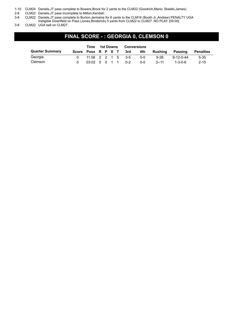1-10 CLM24 Daniels,JT pass complete to Bowers,Brock for 2 yards to the CLM22 (Goodrich,Mario; Skalski,James).

2-8 CLM22 Daniels,JT pass incomplete to Milton,Kendall.

3-8 CLM22 Daniels,JT pass complete to Burton,Jermaine for 6 yards to the CLM16 (Booth Jr.,Andrew) PENALTY UGA

Ineligible Downfield on Pass (Jones,Broderick) 5 yards from CLM22 to CLM27. NO PLAY. [00:00]

3-8 CLM22 UGA ball on CLM27.

## **FINAL SCORE - : GEORGIA 0, CLEMSON 0**

|                        | Time               | 1st Downs                                         |  |  | <b>Conversions</b> |     |            |          |                   |                  |
|------------------------|--------------------|---------------------------------------------------|--|--|--------------------|-----|------------|----------|-------------------|------------------|
| <b>Quarter Summary</b> | Score Poss R P X T |                                                   |  |  |                    | 3rd | 4th        | Rushina  | Passing           | <b>Penalties</b> |
| Georgia                |                    | $11:58$ 2 2 1 5 3-5                               |  |  |                    |     | <u>ດ-ດ</u> | $9 - 26$ | $9 - 12 - 0 - 44$ | $5 - 35$         |
| Clemson                |                    | $03:02 \quad 0 \quad 0 \quad 1 \quad 1 \quad 0-2$ |  |  |                    |     | 0-0        | $3 - 11$ | $1 - 3 - 0 - 6$   | $2 - 15$         |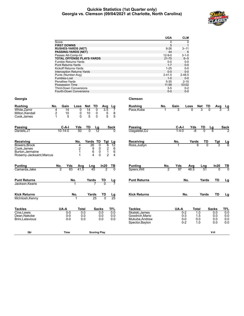#### **Quickie Statistics (1st Quarter only) Georgia vs. Clemson (09/04/2021 at Charlotte, North Carolina)**



|                               |                                                                 |                     |                                   |                                          |                                  | <b>UGA</b>            | <b>CLM</b>       |                  |                |                     |                   |
|-------------------------------|-----------------------------------------------------------------|---------------------|-----------------------------------|------------------------------------------|----------------------------------|-----------------------|------------------|------------------|----------------|---------------------|-------------------|
|                               | Score                                                           |                     |                                   |                                          |                                  | $\mathbf 0$           |                  | $\mathbf 0$      |                |                     |                   |
|                               | <b>FIRST DOWNS</b>                                              |                     |                                   |                                          |                                  | 5                     |                  | $\mathbf{1}$     |                |                     |                   |
|                               | <b>RUSHES-YARDS (NET)</b>                                       |                     |                                   |                                          |                                  | $9 - 26$              | $3 - 11$         |                  |                |                     |                   |
|                               | <b>PASSING-YARDS (NET)</b>                                      |                     |                                   |                                          |                                  | 44                    |                  | 6                |                |                     |                   |
|                               | Passes Att-Comp-Int                                             |                     |                                   |                                          |                                  | $12 - 9 - 0$          | $3 - 1 - 0$      |                  |                |                     |                   |
|                               | <b>TOTAL OFFENSE PLAYS-YARDS</b>                                |                     |                                   |                                          |                                  | $21 - 70$<br>$0-0$    | $6 - 5$<br>$0-0$ |                  |                |                     |                   |
|                               | <b>Fumble Returns-Yards</b><br><b>Punt Returns-Yards</b>        |                     |                                   |                                          |                                  | $1 - 7$               |                  | $0 - 0$          |                |                     |                   |
|                               | <b>Kickoff Returns-Yards</b>                                    |                     |                                   |                                          |                                  | $1 - 25$              |                  | $0 - 0$          |                |                     |                   |
|                               | <b>Interception Returns-Yards</b>                               |                     |                                   |                                          |                                  | $0 - 0$               |                  | $0 - 0$          |                |                     |                   |
|                               | Punts (Number-Avg)                                              |                     |                                   |                                          |                                  | $2 - 41.5$            | $2 - 48.5$       |                  |                |                     |                   |
|                               | Fumbles-Lost                                                    |                     |                                   |                                          |                                  | $1 - 0$               | $0-0$            |                  |                |                     |                   |
|                               | Penalties-Yards                                                 |                     |                                   |                                          |                                  | $5 - 35$              | $2 - 15$         |                  |                |                     |                   |
|                               | <b>Possession Time</b>                                          |                     |                                   |                                          |                                  | 11:58                 | 03:02            |                  |                |                     |                   |
|                               | <b>Third-Down Conversions</b><br><b>Fourth-Down Conversions</b> |                     |                                   |                                          |                                  | $3-5$<br>$0-0$        |                  | $0 - 2$<br>$0-0$ |                |                     |                   |
| Georgia                       |                                                                 |                     |                                   |                                          | <b>Clemson</b>                   |                       |                  |                  |                |                     |                   |
|                               | Gain<br>No.                                                     | Loss                | Net<br>TD                         |                                          | <b>Rushing</b>                   |                       | Gain             |                  |                |                     |                   |
| <b>Rushing</b><br>White.Zamir | 4<br>14                                                         | 0                   | 14<br>$\mathbf{0}$                | Avg<br>Lg<br>$\overline{3.5}$<br>7       | Pace, Kobe                       | No.<br>1              | 3                | Loss             | Net<br>TD      |                     | $\frac{Lg}{3}$    |
| Milton.Kendall                | 2<br>10                                                         | 0                   | 10<br>0                           | 8                                        |                                  |                       |                  |                  |                |                     |                   |
| Cook, James                   | $\mathbf{1}$<br>5                                               | $\Omega$            | 5<br>0                            | $\frac{5}{5}$<br>5                       |                                  |                       |                  |                  |                |                     |                   |
|                               |                                                                 |                     |                                   |                                          |                                  |                       |                  |                  |                |                     |                   |
| Passing                       | C-A-I                                                           | Yds                 | TD<br>Lg                          | Sack                                     | <b>Passing</b>                   |                       | C-A-I            | Yds              | TD             | Lg                  | Sack              |
| Daniels, JT                   | $10 - 14 - 0$                                                   | 50                  | $\overline{12}$<br>$\overline{0}$ | $\Omega$                                 | Uiagalelei, DJ                   |                       | $1 - 4 - 0$      | -8               |                |                     |                   |
|                               |                                                                 |                     |                                   |                                          |                                  |                       |                  |                  |                |                     |                   |
| Receiving                     |                                                                 | No.                 | Yards<br>TD                       | Tgt Lg                                   | Receiving                        |                       | No.              | Yards            | TD             | <b>Tgt</b>          |                   |
| Bowers.Brock                  |                                                                 | 4                   | 26<br>$\Omega$                    | 6<br>12                                  | Ross, Justyn                     |                       |                  |                  | $\overline{0}$ |                     | Lg<br>6           |
| Cook, James                   |                                                                 | $\boldsymbol{2}$    | 9<br>0                            | $\overline{\mathbf{c}}$<br>6             |                                  |                       |                  |                  |                |                     |                   |
| Burton, Jermaine              |                                                                 | $\mathbf{1}$        | 6<br>0                            | $\mathbf{1}$<br>6                        |                                  |                       |                  |                  |                |                     |                   |
| Rosemy-Jacksaint, Marcus      |                                                                 | 1                   | 4<br>0                            | $\overline{2}$<br>$\overline{4}$         |                                  |                       |                  |                  |                |                     |                   |
|                               |                                                                 |                     |                                   |                                          |                                  |                       |                  |                  |                |                     |                   |
| <b>Punting</b>                | Yds<br>No.<br>$\overline{2}$<br>83                              | Avg<br>41.5         | Lng<br>45                         | ΤВ<br>In20<br>$\overline{2}$<br>$\Omega$ | <b>Punting</b>                   | No.<br>$\overline{2}$ | Yds<br>97        | Avg<br>48.5      | Lng<br>51      | In20<br>0           | TВ<br>$\Omega$    |
| Camarda, Jake                 |                                                                 |                     |                                   |                                          | Spiers, Will                     |                       |                  |                  |                |                     |                   |
| <b>Punt Returns</b>           |                                                                 | No.                 | Yards                             | TD<br>Lg                                 | <b>Punt Returns</b>              |                       | No.              |                  | Yards          | TD                  | Lg                |
| Jackson, Kearis               |                                                                 |                     |                                   |                                          |                                  |                       |                  |                  |                |                     |                   |
|                               |                                                                 |                     |                                   |                                          |                                  |                       |                  |                  |                |                     |                   |
| <b>Kick Returns</b>           |                                                                 | No.                 | Yards                             | TD<br>Lg                                 | <b>Kick Returns</b>              |                       | No.              |                  | Yards          | TD                  | Lg                |
| McIntosh, Kenny               |                                                                 |                     | 25                                | $\overline{25}$<br>$\Omega$              |                                  |                       |                  |                  |                |                     |                   |
|                               |                                                                 |                     |                                   |                                          |                                  |                       |                  |                  |                |                     |                   |
| <b>Tackles</b><br>Cine, Lewis | UA-A<br>$0-0$                                                   | <b>Total</b><br>0.0 | <b>Sacks</b><br>0.0               | TFL<br>0.0                               | <b>Tackles</b><br>Skalski, James |                       | UA-A<br>$0 - 2$  | Total            | 1.0            | <b>Sacks</b><br>0.0 | <b>TFL</b><br>0.0 |
| Dean, Nakobe                  | $0-0$                                                           | 0.0                 | 0.0                               | 0.0                                      | Goodrich.Mario                   |                       | $0 - 3$          |                  | 1.5            | 0.0                 | 0.0               |
| Brini, Latavious              | $0-0$                                                           | 0.0                 | 0.0                               | 0.0                                      | Mukuba, Andrew                   |                       | $0-0$            | 0.0              |                | 0.0                 | 0.0               |
|                               |                                                                 |                     |                                   |                                          | Spector, Baylon                  |                       | $0 - 2$          | 1.0              |                | 0.0                 | 0.0               |
|                               |                                                                 |                     |                                   |                                          |                                  |                       |                  |                  |                |                     |                   |
| Qtr                           | Time                                                            |                     | <b>Scoring Play</b>               |                                          |                                  |                       |                  |                  |                | V-H                 |                   |
|                               |                                                                 |                     |                                   |                                          |                                  |                       |                  |                  |                |                     |                   |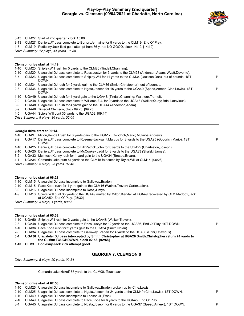#### **Play-by-Play Summary (2nd quarter) Georgia vs. Clemson (09/04/2021 at Charlotte, North Carolina)**



P

3-13 CLM27 Start of 2nd quarter, clock 15:00.

3-13 CLM27 Daniels,JT pass complete to Burton,Jermaine for 8 yards to the CLM19, End Of Play.

4-5 CLM19 Podlesny,Jack field goal attempt from 36 yards NO GOOD, clock 14:19. [14:19]

*Drive Summary: 12 plays, 44 yards, 05:38*

#### **Clemson drive start at 14:19.**

|          |       | ClemsUn unve stan at 14.13.                                                                                         |   |
|----------|-------|---------------------------------------------------------------------------------------------------------------------|---|
| 1-10     |       | CLM20 Shipley, Will rush for 0 yards to the CLM20 (Tindall, Channing).                                              |   |
| $2 - 10$ | CLM20 | Uiagalelei, DJ pass complete to Ross, Justyn for 3 yards to the CLM23 (Anderson, Adam; Wyatt, Devonte).             |   |
| $3 - 7$  | CLM23 | Uiagalelei, DJ pass complete to Shipley, Will for 11 yards to the CLM34 (Jackson, Dan), out of bounds, 1ST<br>DOWN. | P |
| 1-10     | CLM34 | Uiagalelei, DJ rush for 2 yards gain to the CLM36 (Smith, Christopher), out of bounds.                              |   |
| $2 - 8$  | CLM36 | Uiagalelei. DJ pass complete to Ngata, Joseph for 15 yards to the UGA49 (Speed Ameer: Cine, Lewis), 1ST<br>DOWN.    | P |
| 1-10     |       | UGA49 Uiagalelei, DJ rush for 1 yard gain to the UGA48 (Tindall, Channing; Walthour, Tramel).                       |   |
| $2-9$    | UGA48 | Uiagalelei, DJ pass complete to Williams, E.J. for 0 yards to the UGA48 (Walker, Quay; Brini, Latavious).           |   |
| $3-9$    | UGA48 | Uiagalelei, DJ rush for 4 yards gain to the UGA44 (Anderson, Adam).                                                 |   |
| $3-9$    |       | UGA48 Timeout Clemson, clock 09:23. [09:23]                                                                         |   |
| 4-5      |       | UGA44 Spiers, Will punt 35 yards to the UGA09. [09:14]                                                              |   |
|          |       | Drive Summary: 8 plays, 36 yards, 05:05                                                                             |   |
|          |       |                                                                                                                     |   |

#### **Georgia drive start at 09:14.**

|  |  | 1-10 UGA9 Milton, Kendall rush for 8 yards gain to the UGA17 (Goodrich, Mario; Mukuba, Andrew). |  |
|--|--|-------------------------------------------------------------------------------------------------|--|
|  |  |                                                                                                 |  |

| 2-2 UGA17 Daniels, JT pass complete to Rosemy-Jacksaint, Marcus for 8 yards to the UGA25 (Goodrich, Mario), 1ST<br>DOWN. |  |
|--------------------------------------------------------------------------------------------------------------------------|--|
|--------------------------------------------------------------------------------------------------------------------------|--|

- 1-10 UGA25 Daniels,JT pass complete to FitzPatrick,John for 0 yards to the UGA25 (Charleston,Joseph).
- 2-10 UGA25 Daniels,JT pass complete to McConkey,Ladd for 8 yards to the UGA33 (Skalski,James).
- 3-2 UGA33 McIntosh,Kenny rush for 1 yard gain to the UGA34 (Bresee,Bryan).
- 4-1 UGA34 Camarda,Jake punt 51 yards to the CLM15 fair catch by Taylor,Will at CLM15. [06:28]

*Drive Summary: 5 plays, 25 yards, 02:46*

#### **Clemson drive start at 06:28.**

1-10 CLM15 Uiagalelei,DJ pass incomplete to Galloway,Braden.

- 2-10 CLM15 Pace,Kobe rush for 1 yard gain to the CLM16 (Walker,Travon; Carter,Jalen).
- 3-9 CLM16 Uiagalelei,DJ pass incomplete to Ross,Justyn.
- 4-9 CLM16 Spiers,Will punt 35 yards to the UGA49 muffed by Milton,Kendall at UGA49 recovered by CLM Maddox,Jack
- at UGA50, End Of Play. [05:32]

*Drive Summary: 3 plays, 1 yards, 00:56*

#### **Clemson drive start at 05:32.**

- 1-10 UGA50 Shipley,Will rush for 2 yards gain to the UGA48 (Walker,Travon).
- 2-8 UGA48 Uiagalelei,DJ pass complete to Ross,Justyn for 12 yards to the UGA36, End Of Play, 1ST DOWN. P
- 1-10 UGA36 Pace,Kobe rush for 2 yards gain to the UGA34 (Smith,Nolan).
- 2-8 UGA34 Uiagalelei,DJ pass complete to Galloway,Braden for 4 yards to the UGA30 (Brini,Latavious).
- **3-4 UGA30 Uiagalelei,DJ pass intercepted by Smith,Christopher at UGA26 Smith,Christopher return 74 yards to the CLM00 TOUCHDOWN, clock 02:58. [02:58]**
- **1-10 CLM3 Podlesny,Jack kick attempt good.**

#### **GEORGIA 7, CLEMSON 0**

*Drive Summary: 5 plays, 20 yards, 02:34*

Camarda,Jake kickoff 65 yards to the CLM00, Touchback.

#### **Clemson drive start at 02:58.**

- 1-10 CLM25 Uiagalelei,DJ pass incomplete to Galloway,Braden broken up by Cine,Lewis.
- 2-10 CLM25 Uiagalelei,DJ pass complete to Ngata,Joseph for 24 yards to the CLM49 (Cine,Lewis), 1ST DOWN. P
- 1-10 CLM49 Uiagalelei,DJ pass incomplete to Ladson Jr.,Frank.
- 2-10 CLM49 Uiagalelei,DJ pass complete to Pace,Kobe for 6 yards to the UGA45, End Of Play.

3-4 UGA45 Uiagalelei,DJ pass complete to Ngata,Joseph for 8 yards to the UGA37 (Speed,Ameer), 1ST DOWN. P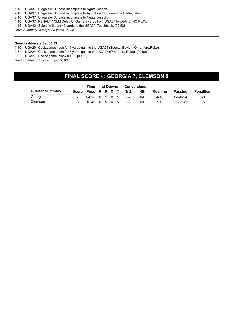- 1-10 UGA37 Uiagalelei,DJ pass incomplete to Ngata,Joseph.
- 2-10 UGA37 Uiagalelei,DJ pass incomplete to Ajou,Ajou QB hurried by Carter,Jalen.
- 3-10 UGA37 Uiagalelei,DJ pass incomplete to Ngata,Joseph.
- 4-10 UGA37 PENALTY CLM Delay Of Game 5 yards from UGA37 to UGA42. NO PLAY.
- 4-15 UGA42 Spiers,Will punt 42 yards to the UGA00, Touchback. [00:53]

*Drive Summary: 8 plays, 33 yards, 02:05*

#### **Georgia drive start at 00:53.**

1-10 UGA20 Cook,James rush for 4 yards gain to the UGA24 (Spector,Baylon; Orhorhoro,Ruke).

2-6 UGA24 Cook,James rush for 3 yards gain to the UGA27 (Orhorhoro,Ruke). [00:00]

3-3 UGA27 End of game, clock 00:00. [00:00]

*Drive Summary: 2 plays, 7 yards, 00:53*

## **FINAL SCORE - : GEORGIA 7, CLEMSON 0**

|                        | Time                                    | 1st Downs<br><b>Conversions</b> |  |  |                        |         |         |                   |           |
|------------------------|-----------------------------------------|---------------------------------|--|--|------------------------|---------|---------|-------------------|-----------|
| <b>Quarter Summary</b> |                                         |                                 |  |  | Score Poss R P X T 3rd | 4th     | Rushina | Passing           | Penalties |
| Georgia                | $04:20 \quad 0 \quad 1 \quad 0 \quad 1$ |                                 |  |  | በ-2                    | $0 - 0$ | 4-16    | $4 - 4 - 0 - 24$  | $0 - 0$   |
| Clemson                | $10:40 \quad 0 \quad 5 \quad 0 \quad 5$ |                                 |  |  | -2-6                   | 0-0     | 7-12    | $9 - 17 - 1 - 83$ | $1 - 5$   |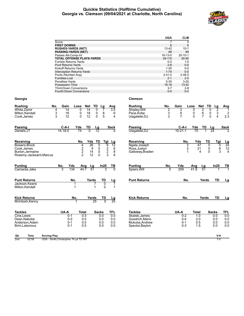#### **Quickie Statistics (Halftime Cumulative) Georgia vs. Clemson (09/04/2021 at Charlotte, North Carolina)**



|                          |                                                                                 | <b>UGA</b>            | <b>CLM</b>       |                         |                            |                  |
|--------------------------|---------------------------------------------------------------------------------|-----------------------|------------------|-------------------------|----------------------------|------------------|
|                          | Score                                                                           | $\overline{7}$        | $\mathbf 0$      |                         |                            |                  |
|                          | <b>FIRST DOWNS</b>                                                              | 6                     | 6                |                         |                            |                  |
|                          | <b>RUSHES-YARDS (NET)</b>                                                       | $13 - 42$             | $10-1$           |                         |                            |                  |
|                          | <b>PASSING-YARDS (NET)</b>                                                      | 68                    | 89               |                         |                            |                  |
|                          | Passes Att-Comp-Int                                                             | $16 - 13 - 0$         | $20 - 10 - 1$    |                         |                            |                  |
|                          | <b>TOTAL OFFENSE PLAYS-YARDS</b>                                                | 29-110                | 30-90            |                         |                            |                  |
|                          | Fumble Returns-Yards                                                            | $0-0$                 | $1 - 0$          |                         |                            |                  |
|                          | <b>Punt Returns-Yards</b>                                                       | $2 - 8$               | $0 - 0$<br>$0-0$ |                         |                            |                  |
|                          | Kickoff Returns-Yards                                                           | $1 - 25$<br>$1 - 74$  | $0-0$            |                         |                            |                  |
|                          | Interception Returns-Yards<br>Punts (Number-Avg)                                | $2 - 41.5$            | $2 - 48.5$       |                         |                            |                  |
|                          | Fumbles-Lost                                                                    | $2 - 1$               | $2 - 0$          |                         |                            |                  |
|                          | Penalties-Yards                                                                 | $5 - 35$              | $3 - 20$         |                         |                            |                  |
|                          | Possession Time                                                                 | 16:18                 | 13:42            |                         |                            |                  |
|                          | <b>Third-Down Conversions</b>                                                   | $3 - 7$               | $2 - 8$          |                         |                            |                  |
|                          | Fourth-Down Conversions                                                         | $0-0$                 | $0-0$            |                         |                            |                  |
|                          |                                                                                 |                       |                  |                         |                            |                  |
| Georgia                  |                                                                                 | <b>Clemson</b>        |                  |                         |                            |                  |
| <b>Rushing</b>           | Gain<br>No.<br>Loss<br>Net<br>TD<br><u>Avg</u><br>Lg                            | <b>Rushing</b><br>No. | Gain             | Loss<br><b>Net</b>      | TD<br>Lg                   | Avg              |
| White, Zamir             | $\overline{14}$<br>4<br>14<br>0<br>0<br>3.5                                     | Shipley, Will<br>2    | 2                | 2<br>0                  | $\overline{2}$<br>0        | 1                |
| Milton.Kendall           | 3<br>18<br>0<br>18<br>0<br>8<br>6                                               | 3<br>Pace.Kobe        | 6                | 0<br>$\frac{6}{7}$      | 3<br>0                     | 2                |
| Cook, James              | 3<br>12<br>0<br>5<br>12<br>0<br>4                                               | 3<br>Uiagalelei, DJ   | $\overline{7}$   | $\Omega$                | $\Omega$<br>$\overline{4}$ | 2.3              |
|                          |                                                                                 |                       |                  |                         |                            |                  |
| Passing                  | C-A-I<br>Yds<br>TD<br>Lg<br>Sack                                                | Passing               | C-A-I            | Yds<br>TD               | <u>Lg</u>                  | Sack             |
| Daniels.JT               | $14 - 18 - 0$<br>74<br>$\overline{0}$<br>$\overline{12}$<br>$\Omega$            | Uiagalelei, DJ        | $10 - 21 - 1$    | $\overline{75}$         | $\overline{24}$            |                  |
|                          |                                                                                 |                       |                  |                         |                            |                  |
| Receiving                | No.<br>Yds<br>TD<br>Tgt<br>Lg                                                   | Receiving             | No.              | Yds                     | TD<br>Tgt                  | <u>Lg</u>        |
| Bowers, Brock            | 26<br>$\overline{12}$<br>4<br>0<br>6                                            | Ngata, Joseph         | 3                | 47                      | 0<br>5                     | $\overline{24}$  |
| Cook, James              | $\begin{array}{c}\n2 \\ 2 \\ 2\n\end{array}$<br>$\frac{2}{2}$<br>9<br>0<br>6    | Ross, Justyn          | 3                | 21                      | 6<br>0                     | 12               |
| Burton, Jermaine         | 14<br>8<br>0                                                                    | Galloway, Braden      | 1                | 4                       | 3<br>$\mathbf{0}$          | $\overline{4}$   |
| Rosemy-Jacksaint, Marcus | 3<br>12<br>$\Omega$<br>8                                                        |                       |                  |                         |                            |                  |
| <b>Punting</b>           | No.<br>Yds                                                                      | Punting<br>No.        |                  |                         | In20                       |                  |
| Camarda, Jake            | In20<br><u>Avg</u><br>Lg<br>TВ<br>44.7<br>51<br>3<br>134<br>3<br>$\overline{0}$ | Spiers, Will<br>5     | Yds<br>209       | Avg<br>Lg<br>41.8<br>51 |                            | TВ               |
|                          |                                                                                 |                       |                  |                         |                            |                  |
| <b>Punt Returns</b>      | No.<br>TD<br>Yards<br>Lg                                                        | <b>Punt Returns</b>   | No.              | Yards                   | TD                         | Lg               |
| Jackson, Kearis          | $\overline{0}$<br>7<br>1                                                        |                       |                  |                         |                            |                  |
| Milton, Kendall          | $\mathbf{0}$<br>$\mathbf 1$<br>1<br>$\mathbf 1$                                 |                       |                  |                         |                            |                  |
|                          |                                                                                 |                       |                  |                         |                            |                  |
| <b>Kick Returns</b>      | No.<br>Yards<br>TD<br>Lg                                                        | <b>Kick Returns</b>   | No.              | Yards                   | TD                         | Lg               |
| McIntosh, Kenny          | $\overline{25}$<br>$\overline{25}$<br>0                                         |                       |                  |                         |                            |                  |
|                          |                                                                                 |                       |                  |                         |                            |                  |
| <b>Tackles</b>           | UA-A<br><b>Total</b><br>TFL<br><b>Sacks</b>                                     | <b>Tackles</b>        | UA-A             | Total                   | <b>Sacks</b>               | TFL,             |
| Cine, Lewis              | $0 - 1$<br>0.5<br>0.0<br>0.0                                                    | Skalski, James        | $0 - 2$          | 1.0                     | 0.0                        | $\overline{0.0}$ |
| Dean, Nakobe             | $0-0$<br>0.0<br>0.0<br>0.0                                                      | Goodrich, Mario       | $0 - 4$          | 2.0                     | 0.0                        | 0.0              |
| Anderson, Adam           | $0 - 1$<br>0.5<br>0.0<br>0.0<br>$0 - 1$<br>0.5<br>0.0<br>0.0                    | Mukuba.Andrew         | $0 - 1$          | 0.5<br>1.5              | 0.0<br>0.0                 | 0.0<br>0.0       |
| Brini, Latavious         |                                                                                 | Spector, Baylon       | $0 - 3$          |                         |                            |                  |
|                          |                                                                                 |                       |                  |                         |                            |                  |
| Qtr<br>Time              | <b>Scoring Play</b>                                                             |                       |                  |                         | V-H<br>$7-0$               |                  |
| 2nd<br>02:58             | UGA - Smith, Christopher 74 yd TD INT                                           |                       |                  |                         |                            |                  |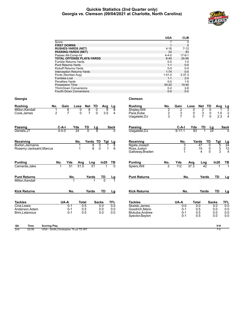#### **Quickie Statistics (2nd Quarter only) Georgia vs. Clemson (09/04/2021 at Charlotte, North Carolina)**



|                               |                                                             |                                  | <b>UGA</b><br><b>CLM</b>                     |                                      |                 |                 |
|-------------------------------|-------------------------------------------------------------|----------------------------------|----------------------------------------------|--------------------------------------|-----------------|-----------------|
|                               | Score                                                       |                                  | $\overline{7}$<br>$\mathbf 0$                |                                      |                 |                 |
|                               | <b>FIRST DOWNS</b>                                          |                                  | 5<br>$\mathbf{1}$                            |                                      |                 |                 |
|                               | <b>RUSHES-YARDS (NET)</b>                                   |                                  | $4 - 16$<br>$7 - 12$                         |                                      |                 |                 |
|                               | <b>PASSING-YARDS (NET)</b>                                  |                                  | 24<br>83                                     |                                      |                 |                 |
|                               | Passes Att-Comp-Int<br><b>TOTAL OFFENSE PLAYS-YARDS</b>     |                                  | $4 - 4 - 0$<br>$17-9-1$<br>$8 - 40$<br>24-95 |                                      |                 |                 |
|                               | Fumble Returns-Yards                                        |                                  | $0-0$<br>$1 - 0$                             |                                      |                 |                 |
|                               | <b>Punt Returns-Yards</b>                                   |                                  | $1 - 1$<br>$0-0$                             |                                      |                 |                 |
|                               | <b>Kickoff Returns-Yards</b>                                |                                  | $0-0$<br>$0-0$                               |                                      |                 |                 |
|                               | Interception Returns-Yards                                  |                                  | $1 - 74$<br>$0 - 0$                          |                                      |                 |                 |
|                               | Punts (Number-Avg)                                          |                                  | $1 - 51.0$<br>$3 - 37.3$                     |                                      |                 |                 |
|                               | Fumbles-Lost                                                |                                  | $1 - 1$<br>$2 - 0$                           |                                      |                 |                 |
|                               | Penalties-Yards                                             |                                  | $0 - 0$<br>$1 - 5$                           |                                      |                 |                 |
|                               | Possession Time                                             |                                  | 04:20<br>10:40                               |                                      |                 |                 |
|                               | <b>Third-Down Conversions</b>                               |                                  | $0 - 2$<br>$2 - 6$                           |                                      |                 |                 |
|                               | <b>Fourth-Down Conversions</b>                              |                                  | $0-0$<br>$0-0$                               |                                      |                 |                 |
| Georgia                       |                                                             | <b>Clemson</b>                   |                                              |                                      |                 |                 |
| <b>Rushing</b>                | No.<br>Gain<br>TD<br>Loss<br>Net<br>Lg<br>Avg               | <b>Rushing</b><br>No.            | Gain                                         | Loss<br>Net                          | TD<br>Avg       |                 |
| Milton, Kendall               | 8<br>8<br>1<br>0<br>8<br>0<br>8                             | Shipley, Will                    |                                              | 0                                    | $\mathbf{0}$    | <u>Lg</u>       |
| Cook, James                   | 2<br>$\overline{7}$<br>$\overline{7}$<br>3.5<br>0<br>0<br>4 | Pace, Kobe                       | $\frac{2}{2}$<br>$\frac{2}{3}$               | $\frac{2}{3}$<br>0                   | 0<br>1.5        | $\frac{2}{2}$   |
|                               |                                                             | Uiagalelei, DJ                   | $\overline{7}$<br>3                          | 0                                    | $\Omega$<br>2.3 |                 |
|                               |                                                             |                                  |                                              |                                      |                 |                 |
| Passing                       | $C-A-I$<br>Yds<br>TD<br>Lg<br>Sack                          | Passing                          | C-A-I                                        | Yds<br>TD                            | Lg              | Sack            |
| Daniels, JT                   | $4 - 4 - 0$<br>$\overline{24}$<br>8<br>$\Omega$<br>0        | Uiagalelei, DJ                   | $9 - 17 - 1$                                 | $\overline{83}$<br>1                 | 24              |                 |
|                               |                                                             |                                  |                                              |                                      |                 |                 |
| Receiving                     | No.<br>Yards TD<br>Tgt Lg                                   | Receiving                        | No.                                          | Yards                                | TD<br>Tgt       | <u>Lg</u>       |
| Burton.Jermaine               | 8<br>$\Omega$<br>1<br>1<br>8                                | Ngata, Joseph                    | 3                                            | 47                                   | $\Omega$<br>5   | $\overline{24}$ |
| Rosemy-Jacksaint, Marcus      | 8<br>1<br>8<br>$\Omega$<br>1                                | Ross, Justyn                     | $\overline{\mathbf{c}}$                      | 15                                   | 3<br>0          | 12              |
|                               |                                                             | Galloway, Braden                 | 1                                            | 4                                    | 3<br>$\Omega$   | $\overline{4}$  |
| <b>Punting</b>                | No.<br>Yds<br>Avg<br>Lng<br>In20<br>ΤВ                      | <b>Punting</b><br>No.            | Yds                                          | Avg<br>Lng                           | In20            | TВ              |
| Camarda, Jake                 | 51.0<br>51<br>51<br>$\overline{0}$                          | Spiers, Will                     | 3<br>112                                     | $\overline{37.3}$<br>$\overline{42}$ |                 |                 |
|                               |                                                             |                                  |                                              |                                      |                 |                 |
| <b>Punt Returns</b>           | No.<br>Yards<br>TD<br>Lg                                    | <b>Punt Returns</b>              | No.                                          | Yards                                | TD              | Lg              |
| Milton, Kendall               |                                                             |                                  |                                              |                                      |                 |                 |
|                               |                                                             |                                  |                                              |                                      |                 |                 |
| <b>Kick Returns</b>           | No.<br>TD<br>Yards<br>Lg                                    | <b>Kick Returns</b>              | No.                                          | Yards                                | TD              | Lg              |
|                               |                                                             |                                  |                                              |                                      |                 |                 |
| <b>Tackles</b>                | UA-A<br>TFL<br>Total<br>Sacks<br>0.0                        | <b>Tackles</b>                   | UA-A                                         | <b>Total</b>                         | <b>Sacks</b>    | TFL             |
| Cine, Lewis<br>Anderson, Adam | 0.5<br>$0 - 1$<br>0.0<br>0.5<br>0.0<br>$0 - 1$<br>0.0       | Skalski, James<br>Goodrich.Mario | $0-0$<br>$0 - 1$                             | 0.0<br>0.5                           | 0.0<br>0.0      | 0.0<br>0.0      |
| Brini, Latavious              | 0.0<br>$0 - 1$<br>0.5<br>0.0                                | Mukuba.Andrew                    | $0 - 1$                                      | 0.5                                  | 0.0             | 0.0             |
|                               |                                                             | Spector, Baylon                  | $0 - 1$                                      | 0.5                                  | 0.0             | 0.0             |
|                               |                                                             |                                  |                                              |                                      |                 |                 |
| <b>Time</b><br>Qtr            | <b>Scoring Play</b>                                         |                                  |                                              |                                      | V-H             |                 |
| 2nd<br>02:58                  | UGA - Smith, Christopher 74 yd TD INT                       |                                  |                                              |                                      | $7-0$           |                 |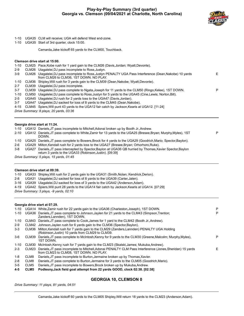

P

- 1-10 UGA35 CLM will receive; UGA will defend West end-zone.
- 1-10 UGA35 Start of 3rd quarter, clock 15:00.

Camarda,Jake kickoff 65 yards to the CLM00, Touchback.

#### **Clemson drive start at 15:00.**

| $1 - 10$ |       | CLM25 Pace, Kobe rush for 1 yard gain to the CLM26 (Davis, Jordan; Wyatt, Devonte).                                                             |    |
|----------|-------|-------------------------------------------------------------------------------------------------------------------------------------------------|----|
| $2-9$    |       | CLM26 Uiagalelei, DJ pass incomplete to Ross, Justyn.                                                                                           |    |
| $3-9$    | CLM26 | Uiagalelei, DJ pass incomplete to Ross, Justyn PENALTY UGA Pass Interference (Dean, Nakobe) 10 yards<br>from CLM26 to CLM36, 1ST DOWN. NO PLAY. | E. |
| 1-10     |       | CLM36 Shipley, Will rush for 3 yards gain to the CLM39 (Dean, Nakobe; Wyatt, Devonte).                                                          |    |
| $2 - 7$  | CLM39 | Uiagalelei, DJ pass incomplete.                                                                                                                 |    |
| $3 - 7$  |       | CLM39 Uiagalelei, DJ pass complete to Ngata, Joseph for 11 yards to the CLM50 (Ringo, Kelee), 1ST DOWN.                                         | P  |
| $1 - 10$ |       | CLM50 Uiagalelei, DJ pass complete to Ross, Justyn for 5 yards to the UGA45 (Cine, Lewis; Norton, Bill).                                        |    |
| $2 - 5$  |       | UGA45 Ujagalelei, DJ rush for 2 yards loss to the UGA47 (Davis, Jordan).                                                                        |    |
| $3 - 7$  |       | UGA47 Uiagalelei, DJ sacked for loss of 8 yards to the CLM45 (Dean, Nakobe).                                                                    |    |
| $4 - 15$ |       | CLM45 Spiers, Will punt 43 yards to the UGA12 fair catch by Jackson, Kearis at UGA12. [11:24]                                                   |    |
|          |       | Drive Summary: 8 plays, 20 yards, 03:36                                                                                                         |    |
|          |       |                                                                                                                                                 |    |
|          |       |                                                                                                                                                 |    |

**Georgia drive start at 11:24.**

|  |  |  | 1-10 UGA12 Daniels, JT pass incomplete to Mitchell, Adonai broken up by Booth Jr., Andrew. |
|--|--|--|--------------------------------------------------------------------------------------------|

|  | 2-10 UGA12 Daniels, JT pass complete to White, Zamir for 13 yards to the UGA25 (Bresee, Bryan; Murphy, Myles), 1ST<br>DOWN. |
|--|-----------------------------------------------------------------------------------------------------------------------------|
|  |                                                                                                                             |

1-10 UGA25 Daniels,JT pass complete to Bowers,Brock for 4 yards to the UGA29 (Goodrich,Mario; Spector,Baylon).

- 2-6 UGA29 Milton,Kendall rush for 2 yards loss to the UGA27 (Bresee,Bryan; Orhorhoro,Ruke).
- 3-8 UGA27 Daniels,JT pass intercepted by Spector,Baylon at UGA36 QB hurried by Thomas,Xavier Spector,Baylon return 3 yards to the UGA33 (Robinson,Justin). [09:39]

*Drive Summary: 5 plays, 15 yards, 01:45*

#### **Clemson drive start at 09:39.**

1-10 UGA33 Shipley,Will rush for 2 yards gain to the UGA31 (Smith,Nolan; Kendrick,Derion).

- 2-8 UGA31 Uiagalelei,DJ sacked for loss of 8 yards to the UGA39 (Carter,Jalen).
- 3-16 UGA39 Uiagalelei,DJ sacked for loss of 3 yards to the UGA42 (Anderson,Adam).

4-19 UGA42 Spiers,Will punt 28 yards to the UGA14 fair catch by Jackson,Kearis at UGA14. [07:29]

*Drive Summary: 3 plays, -9 yards, 02:10*

#### **Georgia drive start at 07:29.**

|          |       | 1-10 UGA14 White.Zamir rush for 22 yards gain to the UGA36 (Charleston, Joseph), 1ST DOWN.                                                          | P |
|----------|-------|-----------------------------------------------------------------------------------------------------------------------------------------------------|---|
| $1 - 10$ | UGA36 | Daniels, JT pass complete to Johnson, Jaylen for 21 yards to the CLM43 (Simpson, Trenton;<br>Zanders, Lannden), 1ST DOWN.                           | P |
| 1-10     | CLM43 | Daniels, JT pass complete to Cook, James for 1 yard to the CLM42 (Booth Jr., Andrew).                                                               |   |
| $2-9$    |       | CLM42 Johnson, Jaylen rush for 6 yards gain to the CLM36 (Spector, Baylon).                                                                         |   |
| $3-3$    | CLM36 | Milton, Kendall rush for 7 yards gain to the CLM29 (Zanders, Lannden) PENALTY UGA Holding<br>(Robinson, Justin) 10 yards from CLM29 to CLM39.       |   |
| $3-6$    | CLM39 | Daniels, JT pass complete to McIntosh, Kenny for 9 yards to the CLM30 (Greene, Malcolm; Murphy, Myles),<br>1ST DOWN.                                | P |
| 1-10     | CLM30 | McIntosh, Kenny rush for 7 yards gain to the CLM23 (Skalski, James: Mukuba, Andrew).                                                                |   |
| $2 - 3$  | CLM23 | Daniels, JT pass incomplete to Mitchell, Adonai PENALTY CLM Pass Interference (Jones, Sheridan) 15 yards<br>from CLM23 to CLM08, 1ST DOWN, NO PLAY. | Е |
| 1-8      | CLM8  | Daniels, JT pass incomplete to Burton, Jermaine broken up by Thomas, Xavier.                                                                        |   |
| $2 - 8$  | CLM8  | Daniels, JT pass complete to Burton, Jermaine for 3 yards to the CLM05 (Goodrich, Mario).                                                           |   |
| $3 - 5$  | CLM5  | Daniels, JT pass incomplete to Bowers, Brock broken up by Mukuba, Andrew.                                                                           |   |
| $4 - 5$  | CI M5 | Podlesny Jack field goal attempt from 22 vards GOOD, clock 02:38, [02:38]                                                                           |   |

**4-5 CLM5 Podlesny,Jack field goal attempt from 22 yards GOOD, clock 02:38. [02:38]**

### **GEORGIA 10, CLEMSON 0**

*Drive Summary: 11 plays, 81 yards, 04:51*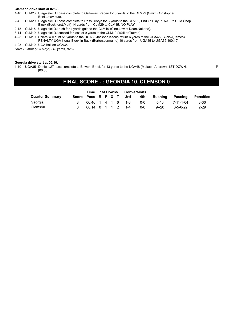#### **Clemson drive start at 02:33.**

1-10 CLM23 Uiagalelei,DJ pass complete to Galloway,Braden for 6 yards to the CLM29 (Smith,Christopher; Brini,Latavious).

- 2-4 CLM29 Uiagalelei,DJ pass complete to Ross,Justyn for 3 yards to the CLM32, End Of Play PENALTY CLM Chop Block (Bockhorst,Matt) 14 yards from CLM29 to CLM15. NO PLAY.
- 2-18 CLM15 Uiagalelei,DJ rush for 4 yards gain to the CLM19 (Cine,Lewis; Dean,Nakobe).
- 3-14 CLM19 Uiagalelei,DJ sacked for loss of 9 yards to the CLM10 (Walker,Travon).
- 4-23 CLM10 Spiers,Will punt 51 yards to the UGA39 Jackson,Kearis return 6 yards to the UGA45 (Skalski,James)
- PENALTY UGA Illegal Block in Back (Burton,Jermaine) 10 yards from UGA45 to UGA35. [00:10]

4-23 CLM10 UGA ball on UGA35.

*Drive Summary: 3 plays, -13 yards, 02:23*

#### **Georgia drive start at 00:10.**

1-10 UGA35 Daniels,JT pass complete to Bowers,Brock for 13 yards to the UGA48 (Mukuba,Andrew), 1ST DOWN. [00:00]

P

## **FINAL SCORE - : GEORGIA 10, CLEMSON 0**

|                        | Time              | <b>Conversions</b><br>1st Downs |  |  |                        |     |          |                  |                  |
|------------------------|-------------------|---------------------------------|--|--|------------------------|-----|----------|------------------|------------------|
| <b>Quarter Summary</b> |                   |                                 |  |  | Score Poss R P X T 3rd | 4th | Rushina  | Passing          | <b>Penalties</b> |
| Georgia                | 06:46 1 4 1 6 1-3 |                                 |  |  |                        | 0-0 | $5-40$   | 7-11-1-64        | $3 - 30$         |
| Clemson                | 08:14 0 1 1 2     |                                 |  |  | $1 - 4$                | ი-ი | $9 - 20$ | $3 - 5 - 0 - 22$ | $2 - 29$         |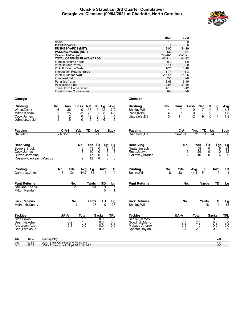#### **Quickie Statistics (3rd Quarter Cumulative) Georgia vs. Clemson (09/04/2021 at Charlotte, North Carolina)**



| 10<br>$\mathbf 0$<br>Score<br><b>FIRST DOWNS</b><br>12<br>8<br><b>RUSHES-YARDS (NET)</b><br>18-82<br>$19 - 19$<br><b>PASSING-YARDS (NET)</b><br>132<br>111<br>Passes Att-Comp-Int<br>$27 - 20 - 1$<br>$25 - 13 - 1$<br>TOTAL OFFENSE PLAYS-YARDS<br>45-214<br>44-92<br>Fumble Returns-Yards<br>$0-0$<br>$1 - 0$<br>$3 - 14$<br>$0-0$<br><b>Punt Returns-Yards</b><br>Kickoff Returns-Yards<br>$1 - 25$<br>$1 - 18$<br>$1 - 74$<br>Interception Returns-Yards<br>$1 - 3$<br>$2 - 41.5$<br>Punts (Number-Avg)<br>$2 - 48.5$<br>Fumbles-Lost<br>$2 - 1$<br>$2 - 0$<br>Penalties-Yards<br>$8 - 65$<br>$5 - 49$<br>23:4<br>Possession Time<br>21:56<br><b>Third-Down Conversions</b><br>$4 - 10$<br>$3 - 12$<br>$0-0$<br>Fourth-Down Conversions<br>$0-0$<br><b>Clemson</b><br>TD<br>No.<br>Gain<br>Net TD<br>No.<br>Gain<br>Net<br>Loss<br>Lg<br>Rushing<br>Loss<br>Lg<br>Avg<br>Avg<br>White, Zamir<br>5<br>0<br>$\overline{36}$<br>$\overline{22}$<br>Shipley, Will<br>0<br>3<br>$\overline{1.8}$<br>36<br>0<br>4<br>7.2<br>7<br>5<br>25<br>$-2$<br>23<br>8<br>7<br>0<br>7<br>$\sqrt{3}$<br>Milton, Kendall<br>0<br>4.6<br>Pace, Kobe<br>4<br>0<br>1.8<br>0<br>5<br>5<br>$-2$<br>9<br>1.8<br>3<br>12<br>12<br>0<br>11<br>$\mathbf{0}$<br>4<br>Cook, James<br>4<br>Uiagalelei, DJ<br>6<br>6<br>1<br>6<br>0<br>0<br>6<br>Johnson,Jaylen<br>TD<br>Passing<br>C-A-I<br>Yds<br>TD<br>Passing<br>C-A-I<br>Yds<br><b>Sack</b><br>Lg<br>Sack<br>Lg<br>$\overline{21}$<br>$\overline{24}$<br>138<br>$\overline{0}$<br>$\overline{72}$<br>$21 - 30 - 1$<br>$14 - 28 - 1$<br>Daniels, JT<br>Uiagalelei, DJ<br>U<br>Yds TD<br>Tgt<br>Receiving<br>TD<br>No.<br>No.<br>Yds<br>Tgt<br>Lg<br>$\frac{\text{Lg}}{24}$<br>43<br>Ngata, Joseph<br>58<br>0<br>6<br>0<br>9<br>13<br>6<br>4<br>3<br>5<br>$\begin{array}{c} 12 \\ 6 \end{array}$<br>10<br>3<br>29<br>6<br>Ross, Justyn<br>0<br>10<br>0<br>3<br>$\overline{2}$<br>8<br>10<br>17<br>0<br>$\Omega$<br>4<br>4<br>Galloway, Braden<br>Burton, Jermaine<br>$\overline{2}$<br>12<br>3<br>8<br>0<br>Rosemy-Jacksaint, Marcus<br><b>Punting</b><br><b>Punting</b><br>Yds<br>In20<br>No.<br>Yds<br>$\frac{\ln 20}{3}$<br>TВ<br>No.<br>Avg<br>Lg<br>Avg<br><u>Lg</u><br>$\frac{TB}{1}$<br>134<br>44.7<br>51<br>331<br>51<br>8<br>41.4<br>Camarda, Jake<br>Spiers, Will<br><b>Punt Returns</b><br>TD<br><b>Punt Returns</b><br>No.<br>Yards<br>TD<br>No.<br>Yards<br><u>Lg</u><br><u>Lg</u><br>Jackson, Kearis<br>2<br>$\overline{13}$<br>0<br>7<br>1<br>0<br>1<br>1<br><b>Kick Returns</b><br><b>Kick Returns</b><br>No.<br>Yards<br>TD<br>No.<br>Yards<br>TD<br><u>Lg</u><br>$\frac{\text{Lg}}{18}$<br>$\overline{25}$<br>$\mathbf{0}$<br>McIntosh, Kenny<br>25<br>Shipley, Will<br>18<br>$\Omega$<br>1<br>1<br>UA-A<br>UA-A<br><b>Tackles</b><br><b>Total</b><br><b>Sacks</b><br><b>TFL</b><br><b>Tackles</b><br><b>Total</b><br><b>Sacks</b><br>TFL<br>Cine, Lewis<br>$0-3$<br>1.5<br>0.0<br>0.0<br>Skalski, James<br>$0 - 3$<br>1.5<br>0.0<br>0.0<br>$0 - 2$<br>0.0<br>Dean, Nakobe<br>1.0<br>0.0<br>Goodrich, Mario<br>$0-5$<br>2.5<br>0.0<br>0.0<br>$0.0\,$<br>$0 - 1$<br>0.5<br>0.0<br>$0 - 2$<br>Anderson, Adam<br>0.0<br>Mukuba, Andrew<br>1.0<br>0.0<br>$0 - 2$<br>0.0<br>2.0<br>0.0<br>Brini, Latavious<br>1.0<br>0.0<br>Spector, Baylon<br>$0 - 4$<br>0.0<br>Time<br><b>Scoring Play</b><br>V-H<br>Qtr<br>UGA - Smith, Christopher 74 yd TD INT<br>2nd<br>02:58<br>$7-0$<br>02:38<br>UGA - Podlesny, Jack 22 yd FG 11-81 04:51<br>$10-0$<br>3rd |                 | <b>UGA</b> | <b>CLM</b> |  |  |
|-----------------------------------------------------------------------------------------------------------------------------------------------------------------------------------------------------------------------------------------------------------------------------------------------------------------------------------------------------------------------------------------------------------------------------------------------------------------------------------------------------------------------------------------------------------------------------------------------------------------------------------------------------------------------------------------------------------------------------------------------------------------------------------------------------------------------------------------------------------------------------------------------------------------------------------------------------------------------------------------------------------------------------------------------------------------------------------------------------------------------------------------------------------------------------------------------------------------------------------------------------------------------------------------------------------------------------------------------------------------------------------------------------------------------------------------------------------------------------------------------------------------------------------------------------------------------------------------------------------------------------------------------------------------------------------------------------------------------------------------------------------------------------------------------------------------------------------------------------------------------------------------------------------------------------------------------------------------------------------------------------------------------------------------------------------------------------------------------------------------------------------------------------------------------------------------------------------------------------------------------------------------------------------------------------------------------------------------------------------------------------------------------------------------------------------------------------------------------------------------------------------------------------------------------------------------------------------------------------------------------------------------------------------------------------------------------------------------------------------------------------------------------------------------------------------------------------------------------------------------------------------------------------------------------------------------------------------------------------------------------------------------------------------------------------------------------------------------------------------------------------------------------------------------------------------------------------------------------------------------------------------------------------------------------------------------------------------------------------------------------------------------------------------------------------------------------------------------------------------------|-----------------|------------|------------|--|--|
|                                                                                                                                                                                                                                                                                                                                                                                                                                                                                                                                                                                                                                                                                                                                                                                                                                                                                                                                                                                                                                                                                                                                                                                                                                                                                                                                                                                                                                                                                                                                                                                                                                                                                                                                                                                                                                                                                                                                                                                                                                                                                                                                                                                                                                                                                                                                                                                                                                                                                                                                                                                                                                                                                                                                                                                                                                                                                                                                                                                                                                                                                                                                                                                                                                                                                                                                                                                                                                                                                         |                 |            |            |  |  |
|                                                                                                                                                                                                                                                                                                                                                                                                                                                                                                                                                                                                                                                                                                                                                                                                                                                                                                                                                                                                                                                                                                                                                                                                                                                                                                                                                                                                                                                                                                                                                                                                                                                                                                                                                                                                                                                                                                                                                                                                                                                                                                                                                                                                                                                                                                                                                                                                                                                                                                                                                                                                                                                                                                                                                                                                                                                                                                                                                                                                                                                                                                                                                                                                                                                                                                                                                                                                                                                                                         |                 |            |            |  |  |
|                                                                                                                                                                                                                                                                                                                                                                                                                                                                                                                                                                                                                                                                                                                                                                                                                                                                                                                                                                                                                                                                                                                                                                                                                                                                                                                                                                                                                                                                                                                                                                                                                                                                                                                                                                                                                                                                                                                                                                                                                                                                                                                                                                                                                                                                                                                                                                                                                                                                                                                                                                                                                                                                                                                                                                                                                                                                                                                                                                                                                                                                                                                                                                                                                                                                                                                                                                                                                                                                                         |                 |            |            |  |  |
|                                                                                                                                                                                                                                                                                                                                                                                                                                                                                                                                                                                                                                                                                                                                                                                                                                                                                                                                                                                                                                                                                                                                                                                                                                                                                                                                                                                                                                                                                                                                                                                                                                                                                                                                                                                                                                                                                                                                                                                                                                                                                                                                                                                                                                                                                                                                                                                                                                                                                                                                                                                                                                                                                                                                                                                                                                                                                                                                                                                                                                                                                                                                                                                                                                                                                                                                                                                                                                                                                         |                 |            |            |  |  |
|                                                                                                                                                                                                                                                                                                                                                                                                                                                                                                                                                                                                                                                                                                                                                                                                                                                                                                                                                                                                                                                                                                                                                                                                                                                                                                                                                                                                                                                                                                                                                                                                                                                                                                                                                                                                                                                                                                                                                                                                                                                                                                                                                                                                                                                                                                                                                                                                                                                                                                                                                                                                                                                                                                                                                                                                                                                                                                                                                                                                                                                                                                                                                                                                                                                                                                                                                                                                                                                                                         |                 |            |            |  |  |
|                                                                                                                                                                                                                                                                                                                                                                                                                                                                                                                                                                                                                                                                                                                                                                                                                                                                                                                                                                                                                                                                                                                                                                                                                                                                                                                                                                                                                                                                                                                                                                                                                                                                                                                                                                                                                                                                                                                                                                                                                                                                                                                                                                                                                                                                                                                                                                                                                                                                                                                                                                                                                                                                                                                                                                                                                                                                                                                                                                                                                                                                                                                                                                                                                                                                                                                                                                                                                                                                                         |                 |            |            |  |  |
|                                                                                                                                                                                                                                                                                                                                                                                                                                                                                                                                                                                                                                                                                                                                                                                                                                                                                                                                                                                                                                                                                                                                                                                                                                                                                                                                                                                                                                                                                                                                                                                                                                                                                                                                                                                                                                                                                                                                                                                                                                                                                                                                                                                                                                                                                                                                                                                                                                                                                                                                                                                                                                                                                                                                                                                                                                                                                                                                                                                                                                                                                                                                                                                                                                                                                                                                                                                                                                                                                         |                 |            |            |  |  |
|                                                                                                                                                                                                                                                                                                                                                                                                                                                                                                                                                                                                                                                                                                                                                                                                                                                                                                                                                                                                                                                                                                                                                                                                                                                                                                                                                                                                                                                                                                                                                                                                                                                                                                                                                                                                                                                                                                                                                                                                                                                                                                                                                                                                                                                                                                                                                                                                                                                                                                                                                                                                                                                                                                                                                                                                                                                                                                                                                                                                                                                                                                                                                                                                                                                                                                                                                                                                                                                                                         |                 |            |            |  |  |
|                                                                                                                                                                                                                                                                                                                                                                                                                                                                                                                                                                                                                                                                                                                                                                                                                                                                                                                                                                                                                                                                                                                                                                                                                                                                                                                                                                                                                                                                                                                                                                                                                                                                                                                                                                                                                                                                                                                                                                                                                                                                                                                                                                                                                                                                                                                                                                                                                                                                                                                                                                                                                                                                                                                                                                                                                                                                                                                                                                                                                                                                                                                                                                                                                                                                                                                                                                                                                                                                                         |                 |            |            |  |  |
|                                                                                                                                                                                                                                                                                                                                                                                                                                                                                                                                                                                                                                                                                                                                                                                                                                                                                                                                                                                                                                                                                                                                                                                                                                                                                                                                                                                                                                                                                                                                                                                                                                                                                                                                                                                                                                                                                                                                                                                                                                                                                                                                                                                                                                                                                                                                                                                                                                                                                                                                                                                                                                                                                                                                                                                                                                                                                                                                                                                                                                                                                                                                                                                                                                                                                                                                                                                                                                                                                         |                 |            |            |  |  |
|                                                                                                                                                                                                                                                                                                                                                                                                                                                                                                                                                                                                                                                                                                                                                                                                                                                                                                                                                                                                                                                                                                                                                                                                                                                                                                                                                                                                                                                                                                                                                                                                                                                                                                                                                                                                                                                                                                                                                                                                                                                                                                                                                                                                                                                                                                                                                                                                                                                                                                                                                                                                                                                                                                                                                                                                                                                                                                                                                                                                                                                                                                                                                                                                                                                                                                                                                                                                                                                                                         |                 |            |            |  |  |
|                                                                                                                                                                                                                                                                                                                                                                                                                                                                                                                                                                                                                                                                                                                                                                                                                                                                                                                                                                                                                                                                                                                                                                                                                                                                                                                                                                                                                                                                                                                                                                                                                                                                                                                                                                                                                                                                                                                                                                                                                                                                                                                                                                                                                                                                                                                                                                                                                                                                                                                                                                                                                                                                                                                                                                                                                                                                                                                                                                                                                                                                                                                                                                                                                                                                                                                                                                                                                                                                                         |                 |            |            |  |  |
|                                                                                                                                                                                                                                                                                                                                                                                                                                                                                                                                                                                                                                                                                                                                                                                                                                                                                                                                                                                                                                                                                                                                                                                                                                                                                                                                                                                                                                                                                                                                                                                                                                                                                                                                                                                                                                                                                                                                                                                                                                                                                                                                                                                                                                                                                                                                                                                                                                                                                                                                                                                                                                                                                                                                                                                                                                                                                                                                                                                                                                                                                                                                                                                                                                                                                                                                                                                                                                                                                         |                 |            |            |  |  |
|                                                                                                                                                                                                                                                                                                                                                                                                                                                                                                                                                                                                                                                                                                                                                                                                                                                                                                                                                                                                                                                                                                                                                                                                                                                                                                                                                                                                                                                                                                                                                                                                                                                                                                                                                                                                                                                                                                                                                                                                                                                                                                                                                                                                                                                                                                                                                                                                                                                                                                                                                                                                                                                                                                                                                                                                                                                                                                                                                                                                                                                                                                                                                                                                                                                                                                                                                                                                                                                                                         |                 |            |            |  |  |
|                                                                                                                                                                                                                                                                                                                                                                                                                                                                                                                                                                                                                                                                                                                                                                                                                                                                                                                                                                                                                                                                                                                                                                                                                                                                                                                                                                                                                                                                                                                                                                                                                                                                                                                                                                                                                                                                                                                                                                                                                                                                                                                                                                                                                                                                                                                                                                                                                                                                                                                                                                                                                                                                                                                                                                                                                                                                                                                                                                                                                                                                                                                                                                                                                                                                                                                                                                                                                                                                                         |                 |            |            |  |  |
|                                                                                                                                                                                                                                                                                                                                                                                                                                                                                                                                                                                                                                                                                                                                                                                                                                                                                                                                                                                                                                                                                                                                                                                                                                                                                                                                                                                                                                                                                                                                                                                                                                                                                                                                                                                                                                                                                                                                                                                                                                                                                                                                                                                                                                                                                                                                                                                                                                                                                                                                                                                                                                                                                                                                                                                                                                                                                                                                                                                                                                                                                                                                                                                                                                                                                                                                                                                                                                                                                         | Georgia         |            |            |  |  |
|                                                                                                                                                                                                                                                                                                                                                                                                                                                                                                                                                                                                                                                                                                                                                                                                                                                                                                                                                                                                                                                                                                                                                                                                                                                                                                                                                                                                                                                                                                                                                                                                                                                                                                                                                                                                                                                                                                                                                                                                                                                                                                                                                                                                                                                                                                                                                                                                                                                                                                                                                                                                                                                                                                                                                                                                                                                                                                                                                                                                                                                                                                                                                                                                                                                                                                                                                                                                                                                                                         | <b>Rushing</b>  |            |            |  |  |
|                                                                                                                                                                                                                                                                                                                                                                                                                                                                                                                                                                                                                                                                                                                                                                                                                                                                                                                                                                                                                                                                                                                                                                                                                                                                                                                                                                                                                                                                                                                                                                                                                                                                                                                                                                                                                                                                                                                                                                                                                                                                                                                                                                                                                                                                                                                                                                                                                                                                                                                                                                                                                                                                                                                                                                                                                                                                                                                                                                                                                                                                                                                                                                                                                                                                                                                                                                                                                                                                                         |                 |            |            |  |  |
|                                                                                                                                                                                                                                                                                                                                                                                                                                                                                                                                                                                                                                                                                                                                                                                                                                                                                                                                                                                                                                                                                                                                                                                                                                                                                                                                                                                                                                                                                                                                                                                                                                                                                                                                                                                                                                                                                                                                                                                                                                                                                                                                                                                                                                                                                                                                                                                                                                                                                                                                                                                                                                                                                                                                                                                                                                                                                                                                                                                                                                                                                                                                                                                                                                                                                                                                                                                                                                                                                         |                 |            |            |  |  |
|                                                                                                                                                                                                                                                                                                                                                                                                                                                                                                                                                                                                                                                                                                                                                                                                                                                                                                                                                                                                                                                                                                                                                                                                                                                                                                                                                                                                                                                                                                                                                                                                                                                                                                                                                                                                                                                                                                                                                                                                                                                                                                                                                                                                                                                                                                                                                                                                                                                                                                                                                                                                                                                                                                                                                                                                                                                                                                                                                                                                                                                                                                                                                                                                                                                                                                                                                                                                                                                                                         |                 |            |            |  |  |
|                                                                                                                                                                                                                                                                                                                                                                                                                                                                                                                                                                                                                                                                                                                                                                                                                                                                                                                                                                                                                                                                                                                                                                                                                                                                                                                                                                                                                                                                                                                                                                                                                                                                                                                                                                                                                                                                                                                                                                                                                                                                                                                                                                                                                                                                                                                                                                                                                                                                                                                                                                                                                                                                                                                                                                                                                                                                                                                                                                                                                                                                                                                                                                                                                                                                                                                                                                                                                                                                                         |                 |            |            |  |  |
|                                                                                                                                                                                                                                                                                                                                                                                                                                                                                                                                                                                                                                                                                                                                                                                                                                                                                                                                                                                                                                                                                                                                                                                                                                                                                                                                                                                                                                                                                                                                                                                                                                                                                                                                                                                                                                                                                                                                                                                                                                                                                                                                                                                                                                                                                                                                                                                                                                                                                                                                                                                                                                                                                                                                                                                                                                                                                                                                                                                                                                                                                                                                                                                                                                                                                                                                                                                                                                                                                         |                 |            |            |  |  |
|                                                                                                                                                                                                                                                                                                                                                                                                                                                                                                                                                                                                                                                                                                                                                                                                                                                                                                                                                                                                                                                                                                                                                                                                                                                                                                                                                                                                                                                                                                                                                                                                                                                                                                                                                                                                                                                                                                                                                                                                                                                                                                                                                                                                                                                                                                                                                                                                                                                                                                                                                                                                                                                                                                                                                                                                                                                                                                                                                                                                                                                                                                                                                                                                                                                                                                                                                                                                                                                                                         |                 |            |            |  |  |
|                                                                                                                                                                                                                                                                                                                                                                                                                                                                                                                                                                                                                                                                                                                                                                                                                                                                                                                                                                                                                                                                                                                                                                                                                                                                                                                                                                                                                                                                                                                                                                                                                                                                                                                                                                                                                                                                                                                                                                                                                                                                                                                                                                                                                                                                                                                                                                                                                                                                                                                                                                                                                                                                                                                                                                                                                                                                                                                                                                                                                                                                                                                                                                                                                                                                                                                                                                                                                                                                                         |                 |            |            |  |  |
|                                                                                                                                                                                                                                                                                                                                                                                                                                                                                                                                                                                                                                                                                                                                                                                                                                                                                                                                                                                                                                                                                                                                                                                                                                                                                                                                                                                                                                                                                                                                                                                                                                                                                                                                                                                                                                                                                                                                                                                                                                                                                                                                                                                                                                                                                                                                                                                                                                                                                                                                                                                                                                                                                                                                                                                                                                                                                                                                                                                                                                                                                                                                                                                                                                                                                                                                                                                                                                                                                         | Receiving       |            |            |  |  |
|                                                                                                                                                                                                                                                                                                                                                                                                                                                                                                                                                                                                                                                                                                                                                                                                                                                                                                                                                                                                                                                                                                                                                                                                                                                                                                                                                                                                                                                                                                                                                                                                                                                                                                                                                                                                                                                                                                                                                                                                                                                                                                                                                                                                                                                                                                                                                                                                                                                                                                                                                                                                                                                                                                                                                                                                                                                                                                                                                                                                                                                                                                                                                                                                                                                                                                                                                                                                                                                                                         | Bowers.Brock    |            |            |  |  |
|                                                                                                                                                                                                                                                                                                                                                                                                                                                                                                                                                                                                                                                                                                                                                                                                                                                                                                                                                                                                                                                                                                                                                                                                                                                                                                                                                                                                                                                                                                                                                                                                                                                                                                                                                                                                                                                                                                                                                                                                                                                                                                                                                                                                                                                                                                                                                                                                                                                                                                                                                                                                                                                                                                                                                                                                                                                                                                                                                                                                                                                                                                                                                                                                                                                                                                                                                                                                                                                                                         | Cook, James     |            |            |  |  |
|                                                                                                                                                                                                                                                                                                                                                                                                                                                                                                                                                                                                                                                                                                                                                                                                                                                                                                                                                                                                                                                                                                                                                                                                                                                                                                                                                                                                                                                                                                                                                                                                                                                                                                                                                                                                                                                                                                                                                                                                                                                                                                                                                                                                                                                                                                                                                                                                                                                                                                                                                                                                                                                                                                                                                                                                                                                                                                                                                                                                                                                                                                                                                                                                                                                                                                                                                                                                                                                                                         |                 |            |            |  |  |
|                                                                                                                                                                                                                                                                                                                                                                                                                                                                                                                                                                                                                                                                                                                                                                                                                                                                                                                                                                                                                                                                                                                                                                                                                                                                                                                                                                                                                                                                                                                                                                                                                                                                                                                                                                                                                                                                                                                                                                                                                                                                                                                                                                                                                                                                                                                                                                                                                                                                                                                                                                                                                                                                                                                                                                                                                                                                                                                                                                                                                                                                                                                                                                                                                                                                                                                                                                                                                                                                                         |                 |            |            |  |  |
|                                                                                                                                                                                                                                                                                                                                                                                                                                                                                                                                                                                                                                                                                                                                                                                                                                                                                                                                                                                                                                                                                                                                                                                                                                                                                                                                                                                                                                                                                                                                                                                                                                                                                                                                                                                                                                                                                                                                                                                                                                                                                                                                                                                                                                                                                                                                                                                                                                                                                                                                                                                                                                                                                                                                                                                                                                                                                                                                                                                                                                                                                                                                                                                                                                                                                                                                                                                                                                                                                         |                 |            |            |  |  |
|                                                                                                                                                                                                                                                                                                                                                                                                                                                                                                                                                                                                                                                                                                                                                                                                                                                                                                                                                                                                                                                                                                                                                                                                                                                                                                                                                                                                                                                                                                                                                                                                                                                                                                                                                                                                                                                                                                                                                                                                                                                                                                                                                                                                                                                                                                                                                                                                                                                                                                                                                                                                                                                                                                                                                                                                                                                                                                                                                                                                                                                                                                                                                                                                                                                                                                                                                                                                                                                                                         |                 |            |            |  |  |
|                                                                                                                                                                                                                                                                                                                                                                                                                                                                                                                                                                                                                                                                                                                                                                                                                                                                                                                                                                                                                                                                                                                                                                                                                                                                                                                                                                                                                                                                                                                                                                                                                                                                                                                                                                                                                                                                                                                                                                                                                                                                                                                                                                                                                                                                                                                                                                                                                                                                                                                                                                                                                                                                                                                                                                                                                                                                                                                                                                                                                                                                                                                                                                                                                                                                                                                                                                                                                                                                                         |                 |            |            |  |  |
|                                                                                                                                                                                                                                                                                                                                                                                                                                                                                                                                                                                                                                                                                                                                                                                                                                                                                                                                                                                                                                                                                                                                                                                                                                                                                                                                                                                                                                                                                                                                                                                                                                                                                                                                                                                                                                                                                                                                                                                                                                                                                                                                                                                                                                                                                                                                                                                                                                                                                                                                                                                                                                                                                                                                                                                                                                                                                                                                                                                                                                                                                                                                                                                                                                                                                                                                                                                                                                                                                         |                 |            |            |  |  |
|                                                                                                                                                                                                                                                                                                                                                                                                                                                                                                                                                                                                                                                                                                                                                                                                                                                                                                                                                                                                                                                                                                                                                                                                                                                                                                                                                                                                                                                                                                                                                                                                                                                                                                                                                                                                                                                                                                                                                                                                                                                                                                                                                                                                                                                                                                                                                                                                                                                                                                                                                                                                                                                                                                                                                                                                                                                                                                                                                                                                                                                                                                                                                                                                                                                                                                                                                                                                                                                                                         |                 |            |            |  |  |
|                                                                                                                                                                                                                                                                                                                                                                                                                                                                                                                                                                                                                                                                                                                                                                                                                                                                                                                                                                                                                                                                                                                                                                                                                                                                                                                                                                                                                                                                                                                                                                                                                                                                                                                                                                                                                                                                                                                                                                                                                                                                                                                                                                                                                                                                                                                                                                                                                                                                                                                                                                                                                                                                                                                                                                                                                                                                                                                                                                                                                                                                                                                                                                                                                                                                                                                                                                                                                                                                                         | Milton, Kendall |            |            |  |  |
|                                                                                                                                                                                                                                                                                                                                                                                                                                                                                                                                                                                                                                                                                                                                                                                                                                                                                                                                                                                                                                                                                                                                                                                                                                                                                                                                                                                                                                                                                                                                                                                                                                                                                                                                                                                                                                                                                                                                                                                                                                                                                                                                                                                                                                                                                                                                                                                                                                                                                                                                                                                                                                                                                                                                                                                                                                                                                                                                                                                                                                                                                                                                                                                                                                                                                                                                                                                                                                                                                         |                 |            |            |  |  |
|                                                                                                                                                                                                                                                                                                                                                                                                                                                                                                                                                                                                                                                                                                                                                                                                                                                                                                                                                                                                                                                                                                                                                                                                                                                                                                                                                                                                                                                                                                                                                                                                                                                                                                                                                                                                                                                                                                                                                                                                                                                                                                                                                                                                                                                                                                                                                                                                                                                                                                                                                                                                                                                                                                                                                                                                                                                                                                                                                                                                                                                                                                                                                                                                                                                                                                                                                                                                                                                                                         |                 |            |            |  |  |
|                                                                                                                                                                                                                                                                                                                                                                                                                                                                                                                                                                                                                                                                                                                                                                                                                                                                                                                                                                                                                                                                                                                                                                                                                                                                                                                                                                                                                                                                                                                                                                                                                                                                                                                                                                                                                                                                                                                                                                                                                                                                                                                                                                                                                                                                                                                                                                                                                                                                                                                                                                                                                                                                                                                                                                                                                                                                                                                                                                                                                                                                                                                                                                                                                                                                                                                                                                                                                                                                                         |                 |            |            |  |  |
|                                                                                                                                                                                                                                                                                                                                                                                                                                                                                                                                                                                                                                                                                                                                                                                                                                                                                                                                                                                                                                                                                                                                                                                                                                                                                                                                                                                                                                                                                                                                                                                                                                                                                                                                                                                                                                                                                                                                                                                                                                                                                                                                                                                                                                                                                                                                                                                                                                                                                                                                                                                                                                                                                                                                                                                                                                                                                                                                                                                                                                                                                                                                                                                                                                                                                                                                                                                                                                                                                         |                 |            |            |  |  |
|                                                                                                                                                                                                                                                                                                                                                                                                                                                                                                                                                                                                                                                                                                                                                                                                                                                                                                                                                                                                                                                                                                                                                                                                                                                                                                                                                                                                                                                                                                                                                                                                                                                                                                                                                                                                                                                                                                                                                                                                                                                                                                                                                                                                                                                                                                                                                                                                                                                                                                                                                                                                                                                                                                                                                                                                                                                                                                                                                                                                                                                                                                                                                                                                                                                                                                                                                                                                                                                                                         |                 |            |            |  |  |
|                                                                                                                                                                                                                                                                                                                                                                                                                                                                                                                                                                                                                                                                                                                                                                                                                                                                                                                                                                                                                                                                                                                                                                                                                                                                                                                                                                                                                                                                                                                                                                                                                                                                                                                                                                                                                                                                                                                                                                                                                                                                                                                                                                                                                                                                                                                                                                                                                                                                                                                                                                                                                                                                                                                                                                                                                                                                                                                                                                                                                                                                                                                                                                                                                                                                                                                                                                                                                                                                                         |                 |            |            |  |  |
|                                                                                                                                                                                                                                                                                                                                                                                                                                                                                                                                                                                                                                                                                                                                                                                                                                                                                                                                                                                                                                                                                                                                                                                                                                                                                                                                                                                                                                                                                                                                                                                                                                                                                                                                                                                                                                                                                                                                                                                                                                                                                                                                                                                                                                                                                                                                                                                                                                                                                                                                                                                                                                                                                                                                                                                                                                                                                                                                                                                                                                                                                                                                                                                                                                                                                                                                                                                                                                                                                         |                 |            |            |  |  |
|                                                                                                                                                                                                                                                                                                                                                                                                                                                                                                                                                                                                                                                                                                                                                                                                                                                                                                                                                                                                                                                                                                                                                                                                                                                                                                                                                                                                                                                                                                                                                                                                                                                                                                                                                                                                                                                                                                                                                                                                                                                                                                                                                                                                                                                                                                                                                                                                                                                                                                                                                                                                                                                                                                                                                                                                                                                                                                                                                                                                                                                                                                                                                                                                                                                                                                                                                                                                                                                                                         |                 |            |            |  |  |
|                                                                                                                                                                                                                                                                                                                                                                                                                                                                                                                                                                                                                                                                                                                                                                                                                                                                                                                                                                                                                                                                                                                                                                                                                                                                                                                                                                                                                                                                                                                                                                                                                                                                                                                                                                                                                                                                                                                                                                                                                                                                                                                                                                                                                                                                                                                                                                                                                                                                                                                                                                                                                                                                                                                                                                                                                                                                                                                                                                                                                                                                                                                                                                                                                                                                                                                                                                                                                                                                                         |                 |            |            |  |  |
|                                                                                                                                                                                                                                                                                                                                                                                                                                                                                                                                                                                                                                                                                                                                                                                                                                                                                                                                                                                                                                                                                                                                                                                                                                                                                                                                                                                                                                                                                                                                                                                                                                                                                                                                                                                                                                                                                                                                                                                                                                                                                                                                                                                                                                                                                                                                                                                                                                                                                                                                                                                                                                                                                                                                                                                                                                                                                                                                                                                                                                                                                                                                                                                                                                                                                                                                                                                                                                                                                         |                 |            |            |  |  |
|                                                                                                                                                                                                                                                                                                                                                                                                                                                                                                                                                                                                                                                                                                                                                                                                                                                                                                                                                                                                                                                                                                                                                                                                                                                                                                                                                                                                                                                                                                                                                                                                                                                                                                                                                                                                                                                                                                                                                                                                                                                                                                                                                                                                                                                                                                                                                                                                                                                                                                                                                                                                                                                                                                                                                                                                                                                                                                                                                                                                                                                                                                                                                                                                                                                                                                                                                                                                                                                                                         |                 |            |            |  |  |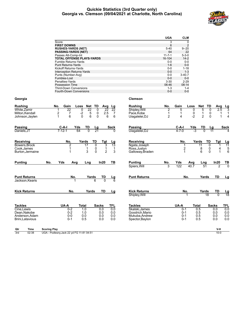#### **Quickie Statistics (3rd Quarter only) Georgia vs. Clemson (09/04/2021 at Charlotte, North Carolina)**



|                                    |                                                                                         | <b>UGA</b>                       | <b>CLM</b>              |                        |                   |                  |
|------------------------------------|-----------------------------------------------------------------------------------------|----------------------------------|-------------------------|------------------------|-------------------|------------------|
|                                    | Score                                                                                   | 3                                | $\mathbf{0}$            |                        |                   |                  |
|                                    | <b>FIRST DOWNS</b>                                                                      | 6                                | $\overline{2}$          |                        |                   |                  |
|                                    | <b>RUSHES-YARDS (NET)</b>                                                               | $5 - 40$                         | $9 - 20$                |                        |                   |                  |
|                                    | <b>PASSING-YARDS (NET)</b>                                                              | 64                               | 22                      |                        |                   |                  |
|                                    | Passes Att-Comp-Int<br><b>TOTAL OFFENSE PLAYS-YARDS</b>                                 | $11 - 7 - 1$<br>16-104           | $5 - 3 - 0$<br>$14 - 2$ |                        |                   |                  |
|                                    | Fumble Returns-Yards                                                                    | $0-0$                            | $0-0$                   |                        |                   |                  |
|                                    | <b>Punt Returns-Yards</b>                                                               | $1 - 6$                          | $0-0$                   |                        |                   |                  |
|                                    | Kickoff Returns-Yards                                                                   | $0-0$                            | $1 - 18$                |                        |                   |                  |
|                                    | Interception Returns-Yards                                                              | $0 - 0$                          | $1 - 3$                 |                        |                   |                  |
|                                    | Punts (Number-Avg)                                                                      | $0-0$                            | $3-40.7$                |                        |                   |                  |
|                                    | Fumbles-Lost                                                                            | $0 - 0$                          | $0-0$                   |                        |                   |                  |
|                                    | Penalties-Yards                                                                         | $3 - 30$                         | $2 - 29$                |                        |                   |                  |
|                                    | <b>Possession Time</b>                                                                  | 06:46                            | 08:14                   |                        |                   |                  |
|                                    | <b>Third-Down Conversions</b><br><b>Fourth-Down Conversions</b>                         | $1 - 3$<br>$0-0$                 | $1 - 4$<br>$0-0$        |                        |                   |                  |
| Georgia                            |                                                                                         | <b>Clemson</b>                   |                         |                        |                   |                  |
| Rushing                            | No.<br>Gain<br>Loss<br>Net<br>TD<br>Avg<br>Lg                                           | <b>Rushing</b><br>No.            | Gain                    | Loss<br>Net<br>TD      | Avg               |                  |
| White,Zamir                        | $\overline{22}$<br>$\overline{22}$<br>$\overline{22}$<br>$\overline{22}$<br>0<br>0<br>1 | Shipley, Will<br>$\overline{2}$  | 5                       | 5<br>0                 | 2.5<br>0          | $\frac{Lg}{3}$   |
| Milton, Kendall                    | 2<br>$-2$<br>5<br>0<br>2.5<br>$\overline{7}$<br>7                                       | $\mathbf{1}$<br>Pace, Kobe       | 1                       | 0<br>$\mathbf{1}$      | 0<br>1            | $\mathbf{1}$     |
| Johnson,Jaylen                     | $\mathbf{1}$<br>6<br>0<br>6<br>0<br>6<br>6                                              | $\overline{c}$<br>Uiagalelei, DJ | 4                       | $-2$<br>$\overline{2}$ | 0<br>1            | 4                |
| Passing                            | C-A-I<br>Yds<br>TD<br>Sack<br>Lg                                                        | Passing                          | C-A-I                   | Yds<br>TD              | Lg                | Sack             |
| Daniels,JT                         | $7 - 12 - 1$<br>$\overline{21}$<br>64                                                   | Uiagalelei, DJ                   | $4 - 7 - 0$             | -3                     | 11                |                  |
|                                    |                                                                                         |                                  |                         |                        |                   |                  |
| Receiving                          | TD<br>Tgt<br>No.<br>Yards<br>Lg                                                         | Receiving                        | No.                     | Yards<br>TD            | Tgt               | Lg               |
| Bowers, Brock                      | 2<br>17<br>0<br>3<br>13                                                                 | Ngata, Joseph                    | 1                       | 11                     | 0<br>1            | 11               |
| Cook,James                         | $\mathbf{1}$<br>0<br>1<br>1<br>1                                                        | Ross, Justyn                     | $\overline{2}$          | 8                      | $\mathbf 0$<br>4  | 5                |
| Burton, Jermaine                   | 3<br>$\mathbf 0$<br>$\overline{2}$<br>3<br>1                                            | Galloway, Braden                 | 1                       | 6                      | 0<br>$\mathbf{1}$ | 6                |
| Punting                            | No.<br>Yds<br>In20<br>ТВ<br>Avg<br>Lng                                                  | Punting<br>No.                   | Yds                     | Avg<br>Lng             | In20              | TВ               |
|                                    |                                                                                         | Spiers, Will<br>3                | 122                     | 40.7<br>51             | 2                 | $\overline{0}$   |
| <b>Punt Returns</b>                | No.<br>Yards<br>TD                                                                      | <b>Punt Returns</b>              | No.                     | Yards                  | TD                | <u>Lg</u>        |
| Jackson, Kearis                    | $\frac{\mathsf{L}\mathsf{g}}{6}$<br>6<br>0<br>1                                         |                                  |                         |                        |                   |                  |
| <b>Kick Returns</b>                | No.<br>Yards<br>TD<br>Lg                                                                | <b>Kick Returns</b>              | No.                     | Yards                  | TD                |                  |
|                                    |                                                                                         | Shipley, Will                    |                         | 18                     | $\Omega$          | $\frac{Lg}{18}$  |
|                                    |                                                                                         |                                  |                         |                        |                   |                  |
| Tackles                            | UA-A<br>Total<br><b>Sacks</b><br>TFL                                                    | <b>Tackles</b>                   | UA-A                    | Total                  | <b>Sacks</b>      | TFL              |
| Cine, Lewis                        | $0 - 2$<br>1.0<br>0.0<br>0.0                                                            | Skalski.James                    | $0 - 1$                 | 0.5                    | 0.0               | $\overline{0.0}$ |
| Dean, Nakobe                       | $0 - 2$<br>1.0<br>0.0<br>0.0                                                            | Goodrich.Mario                   | $0 - 1$                 | 0.5                    | 0.0               | 0.0              |
| Anderson, Adam<br>Brini, Latavious | $0-0$<br>0.0<br>0.0<br>0.0<br>$0 - 1$<br>0.5<br>0.0<br>0.0                              | Mukuba.Andrew<br>Spector, Baylon | $0 - 1$<br>$0 - 1$      | 0.5<br>0.5             | 0.0<br>0.0        | 0.0<br>0.0       |
|                                    |                                                                                         |                                  |                         |                        |                   |                  |
| Qtr<br>Time                        | <b>Scoring Play</b>                                                                     |                                  |                         |                        | V-H               |                  |
| 3rd<br>02:38                       | UGA - Podlesny, Jack 22 yd FG 11-81 04:51                                               |                                  |                         |                        | $10-0$            |                  |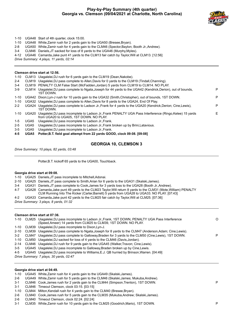#### **Play-by-Play Summary (4th quarter) Georgia vs. Clemson (09/04/2021 at Charlotte, North Carolina)**



- 1-10 UGA48 Start of 4th quarter, clock 15:00.
- 1-10 UGA48 White,Zamir rush for 2 yards gain to the UGA50 (Bresee,Bryan).
- 2-8 UGA50 White,Zamir rush for 4 yards gain to the CLM46 (Spector,Baylon; Booth Jr.,Andrew).
- 3-4 CLM46 Daniels,JT sacked for loss of 8 yards to the UGA46 (Murphy,Myles).
- 4-12 UGA46 Camarda,Jake punt 41 yards to the CLM13 fair catch by Taylor,Will at CLM13. [12:56]

*Drive Summary: 4 plays, 11 yards, 02:14*

#### **Clemson drive start at 12:56.**

|               |                  | Clemson drive start at 12:56.                                                                                                                              |   |
|---------------|------------------|------------------------------------------------------------------------------------------------------------------------------------------------------------|---|
| 1-10          |                  | CLM13 Uiagalelei, DJ rush for 6 yards gain to the CLM19 (Dean, Nakobe).                                                                                    |   |
| 2-4           |                  | CLM19 Uiagalelei, DJ pass complete to Allen, Davis for 0 yards to the CLM19 (Tindall, Channing).                                                           |   |
| 3-4           |                  | CLM19 PENALTY CLM False Start (McFadden, Jordan) 5 yards from CLM19 to CLM14. NO PLAY.                                                                     |   |
| 3-9           | CLM14            | Uiagalelei, DJ pass complete to Ngata, Joseph for 44 yards to the UGA42 (Kendrick, Derion), out of bounds,<br>1ST DOWN.                                    | P |
| 1-10          |                  | UGA42 Dixon, Lyn-J rush for 10 yards gain to the UGA32 (Smith, Christopher), out of bounds, 1ST DOWN.                                                      | P |
| 1-10          |                  | UGA32 Uiagalelei, DJ pass complete to Allen, Davis for 8 yards to the UGA24, End Of Play.                                                                  |   |
| 2-2           |                  | UGA24 Uiagalelei, DJ pass complete to Ladson Jr., Frank for 4 yards to the UGA20 (Kendrick, Derion; Cine, Lewis),<br><b>1ST DOWN</b>                       | P |
| 1-10          |                  | UGA20 Uiagalelei, DJ pass incomplete to Ladson Jr., Frank PENALTY UGA Pass Interference (Ringo, Kelee) 15 yards<br>from UGA20 to UGA05, 1ST DOWN, NO PLAY. | Е |
| $1-5$         | UGA <sub>5</sub> | Uiagalelei, DJ pass incomplete to Ladson Jr., Frank.                                                                                                       |   |
| 2-5           | UGA <sub>5</sub> | Uiagalelei, DJ pass incomplete to Ladson Jr., Frank broken up by Brini, Latavious.                                                                         |   |
| $\sim$ $\sim$ | $\cdots$         |                                                                                                                                                            |   |

- 3-5 UGA5 Uiagalelei,DJ pass incomplete to Ladson Jr.,Frank.
- **4-5 UGA5 Potter,B.T. field goal attempt from 22 yards GOOD, clock 09:08. [09:08]**

#### **GEORGIA 10, CLEMSON 3**

*Drive Summary: 10 plays, 82 yards, 03:48*

Potter,B.T. kickoff 65 yards to the UGA00, Touchback.

#### **Georgia drive start at 09:08.**

- 1-10 UGA25 Daniels,JT pass incomplete to Mitchell,Adonai.
- 2-10 UGA25 Daniels,JT pass complete to Smith,Arian for 6 yards to the UGA31 (Skalski,James).
- 3-4 UGA31 Daniels,JT pass complete to Cook,James for 3 yards loss to the UGA28 (Booth Jr.,Andrew).
- 4-7 UGA28 Camarda,Jake punt 49 yards to the CLM23 Taylor,Will return 8 yards to the CLM31 (Mote,William) PENALTY
- CLM Running Into The Kicker (Carter,Barrett) 5 yards from UGA28 to UGA33. NO PLAY. [07:43]
- 4-2 UGA33 Camarda,Jake punt 42 yards to the CLM25 fair catch by Taylor,Will at CLM25. [07:36]

*Drive Summary: 3 plays, 8 yards, 01:32*

#### **Clemson drive start at 07:36.**

|         |                                         | 1-10 CLM25 Uiagalelei, DJ pass incomplete to Ladson Jr., Frank, 1ST DOWN, PENALTY UGA Pass Interference<br>(Speed, Ameer) 14 yards from CLM25 to CLM39, 1ST DOWN, NO PLAY. | O |  |  |  |  |
|---------|-----------------------------------------|----------------------------------------------------------------------------------------------------------------------------------------------------------------------------|---|--|--|--|--|
|         |                                         | 1-10 CLM39 Uiagalelei, DJ pass incomplete to Dixon, Lyn-J.                                                                                                                 |   |  |  |  |  |
| 2-10    |                                         | CLM39 Uiagalelei, DJ pass complete to Ngata, Joseph for 8 yards to the CLM47 (Anderson, Adam; Cine, Lewis).                                                                |   |  |  |  |  |
| $3 - 2$ |                                         | CLM47 Uiagalelei, DJ pass complete to Galloway, Braden for 3 yards to the CLM50 (Cine, Lewis), 1ST DOWN.                                                                   | P |  |  |  |  |
| 1-10    |                                         | CLM50 Uiagalelei, DJ sacked for loss of 4 yards to the CLM46 (Davis, Jordan).                                                                                              |   |  |  |  |  |
| 2-14    |                                         | CLM46 Uiagalelei, DJ rush for 9 yards gain to the UGA45 (Walker, Travon; Cine, Lewis).                                                                                     |   |  |  |  |  |
| $3-5$   |                                         | UGA45 Uiagalelei, DJ pass incomplete to Galloway, Braden broken up by Cine, Lewis.                                                                                         |   |  |  |  |  |
| 4-5     |                                         | UGA45 Uiagalelei, DJ pass incomplete to Williams, E.J. QB hurried by Brinson, Warren. [04:49]                                                                              |   |  |  |  |  |
|         | Drive Summary: 7 plays, 30 yards, 02:47 |                                                                                                                                                                            |   |  |  |  |  |
|         |                                         |                                                                                                                                                                            |   |  |  |  |  |
|         |                                         |                                                                                                                                                                            |   |  |  |  |  |

#### **Georgia drive start at 04:49.**

| 1-10 UGA45 White, Zamir rush for 4 yards gain to the UGA49 (Skalski, James). |  |  |
|------------------------------------------------------------------------------|--|--|
|------------------------------------------------------------------------------|--|--|

- 2-6 UGA49 White,Zamir rush for 5 yards gain to the CLM46 (Skalski,James; Mukuba,Andrew).
- 3-1 CLM46 Cook,James rush for 2 yards gain to the CLM44 (Simpson,Trenton), 1ST DOWN. P 3-1 CLM46 Timeout Clemson, clock 03:15. [03:15]
- 1-10 CLM44 Milton,Kendall rush for 4 yards gain to the CLM40 (Bresee,Bryan).
- 2-6 CLM40 Cook,James rush for 5 yards gain to the CLM35 (Mukuba,Andrew; Skalski,James).
- 2-6 CLM40 Timeout Clemson, clock 02:24. [02:24]
- 3-1 CLM35 White,Zamir rush for 10 yards gain to the CLM25 (Goodrich,Mario), 1ST DOWN. P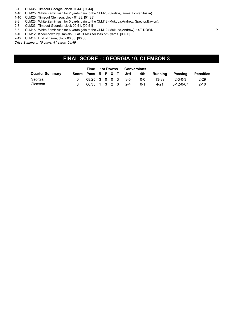3-1 CLM35 Timeout Georgia, clock 01:44. [01:44]

1-10 CLM25 White,Zamir rush for 2 yards gain to the CLM23 (Skalski,James; Foster,Justin).

1-10 CLM25 Timeout Clemson, clock 01:38. [01:38]

2-8 CLM23 White,Zamir rush for 5 yards gain to the CLM18 (Mukuba,Andrew; Spector,Baylon).

- 2-8 CLM23 Timeout Georgia, clock 00:51. [00:51]
- 3-3 CLM18 White,Zamir rush for 6 yards gain to the CLM12 (Mukuba,Andrew), 1ST DOWN. P
- 1-10 CLM12 Kneel down by Daniels,JT at CLM14 for loss of 2 yards. [00:00]
- 2-12 CLM14 End of game, clock 00:00. [00:00]

*Drive Summary: 10 plays, 41 yards, 04:49*

## **FINAL SCORE - : GEORGIA 10, CLEMSON 3**

|                        | Time              | 1st Downs |  |  | <b>Conversions</b>     |       |           |                 |                  |
|------------------------|-------------------|-----------|--|--|------------------------|-------|-----------|-----------------|------------------|
| <b>Quarter Summary</b> |                   |           |  |  | Score Poss R P X T 3rd | 4th – | Rushina   | Passing         | <b>Penalties</b> |
| Georgia                |                   |           |  |  | 08:25 3 0 0 3 3-5      | ი-ი   | $13 - 39$ | $2 - 3 - 0 - 3$ | $2 - 29$         |
| Clemson                | 06:35 1 3 2 6 2-4 |           |  |  |                        | . በ-1 | $4 - 21$  | 6-12-0-67       | $2 - 10$         |